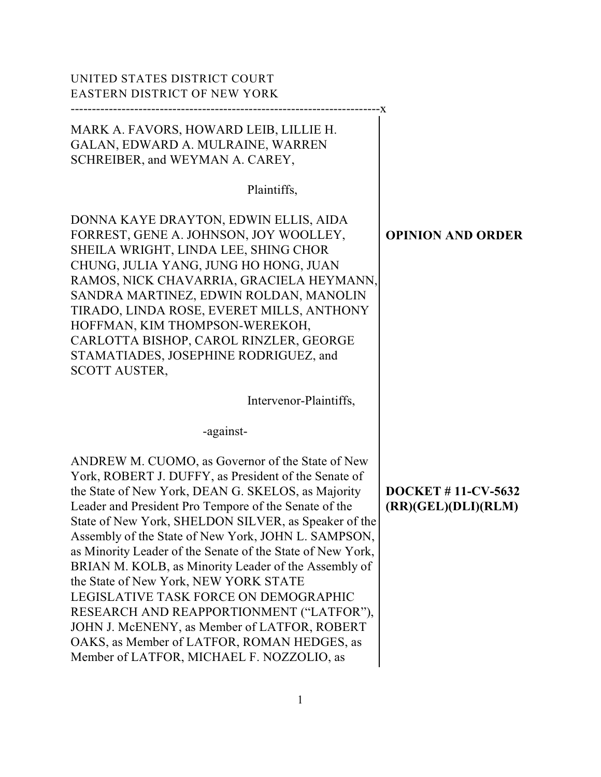| UNITED STATES DISTRICT COURT<br>EASTERN DISTRICT OF NEW YORK                                                                                                                                                                                                                                                                                                                                                                                                                                                                                                                                                                                                                                                                                        |                                                  |
|-----------------------------------------------------------------------------------------------------------------------------------------------------------------------------------------------------------------------------------------------------------------------------------------------------------------------------------------------------------------------------------------------------------------------------------------------------------------------------------------------------------------------------------------------------------------------------------------------------------------------------------------------------------------------------------------------------------------------------------------------------|--------------------------------------------------|
| MARK A. FAVORS, HOWARD LEIB, LILLIE H.<br>GALAN, EDWARD A. MULRAINE, WARREN<br>SCHREIBER, and WEYMAN A. CAREY,<br>Plaintiffs,                                                                                                                                                                                                                                                                                                                                                                                                                                                                                                                                                                                                                       |                                                  |
| DONNA KAYE DRAYTON, EDWIN ELLIS, AIDA<br>FORREST, GENE A. JOHNSON, JOY WOOLLEY,<br>SHEILA WRIGHT, LINDA LEE, SHING CHOR<br>CHUNG, JULIA YANG, JUNG HO HONG, JUAN<br>RAMOS, NICK CHAVARRIA, GRACIELA HEYMANN,<br>SANDRA MARTINEZ, EDWIN ROLDAN, MANOLIN<br>TIRADO, LINDA ROSE, EVERET MILLS, ANTHONY<br>HOFFMAN, KIM THOMPSON-WEREKOH,<br>CARLOTTA BISHOP, CAROL RINZLER, GEORGE<br>STAMATIADES, JOSEPHINE RODRIGUEZ, and<br><b>SCOTT AUSTER,</b>                                                                                                                                                                                                                                                                                                    | <b>OPINION AND ORDER</b>                         |
| Intervenor-Plaintiffs,                                                                                                                                                                                                                                                                                                                                                                                                                                                                                                                                                                                                                                                                                                                              |                                                  |
| -against-<br>ANDREW M. CUOMO, as Governor of the State of New<br>York, ROBERT J. DUFFY, as President of the Senate of<br>the State of New York, DEAN G. SKELOS, as Majority<br>Leader and President Pro Tempore of the Senate of the<br>State of New York, SHELDON SILVER, as Speaker of the<br>Assembly of the State of New York, JOHN L. SAMPSON,<br>as Minority Leader of the Senate of the State of New York,<br>BRIAN M. KOLB, as Minority Leader of the Assembly of<br>the State of New York, NEW YORK STATE<br>LEGISLATIVE TASK FORCE ON DEMOGRAPHIC<br>RESEARCH AND REAPPORTIONMENT ("LATFOR"),<br>JOHN J. McENENY, as Member of LATFOR, ROBERT<br>OAKS, as Member of LATFOR, ROMAN HEDGES, as<br>Member of LATFOR, MICHAEL F. NOZZOLIO, as | <b>DOCKET #11-CV-5632</b><br>(RR)(GEL)(DLI)(RLM) |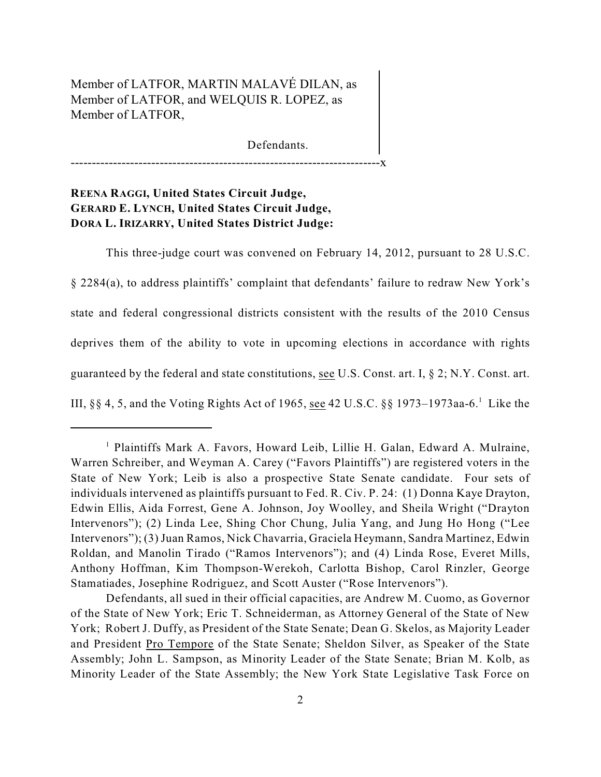# Member of LATFOR, MARTIN MALAVÉ DILAN, as Member of LATFOR, and WELQUIS R. LOPEZ, as Member of LATFOR,

Defendants.

-------------------------------------------------------------------------x

# **REENA RAGGI, United States Circuit Judge, GERARD E. LYNCH, United States Circuit Judge, DORA L. IRIZARRY, United States District Judge:**

This three-judge court was convened on February 14, 2012, pursuant to 28 U.S.C.

§ 2284(a), to address plaintiffs' complaint that defendants' failure to redraw New York's state and federal congressional districts consistent with the results of the 2010 Census deprives them of the ability to vote in upcoming elections in accordance with rights guaranteed by the federal and state constitutions, see U.S. Const. art. I, § 2; N.Y. Const. art. III,  $\S$ § 4, 5, and the Voting Rights Act of 1965, see 42 U.S.C.  $\S$ § 1973–1973aa-6.<sup>1</sup> Like the

<sup>&</sup>lt;sup>1</sup> Plaintiffs Mark A. Favors, Howard Leib, Lillie H. Galan, Edward A. Mulraine, Warren Schreiber, and Weyman A. Carey ("Favors Plaintiffs") are registered voters in the State of New York; Leib is also a prospective State Senate candidate. Four sets of individuals intervened as plaintiffs pursuant to Fed. R. Civ. P. 24: (1) Donna Kaye Drayton, Edwin Ellis, Aida Forrest, Gene A. Johnson, Joy Woolley, and Sheila Wright ("Drayton Intervenors"); (2) Linda Lee, Shing Chor Chung, Julia Yang, and Jung Ho Hong ("Lee Intervenors"); (3) Juan Ramos, Nick Chavarria, Graciela Heymann, Sandra Martinez, Edwin Roldan, and Manolin Tirado ("Ramos Intervenors"); and (4) Linda Rose, Everet Mills, Anthony Hoffman, Kim Thompson-Werekoh, Carlotta Bishop, Carol Rinzler, George Stamatiades, Josephine Rodriguez, and Scott Auster ("Rose Intervenors").

Defendants, all sued in their official capacities, are Andrew M. Cuomo, as Governor of the State of New York; Eric T. Schneiderman, as Attorney General of the State of New York; Robert J. Duffy, as President of the State Senate; Dean G. Skelos, as Majority Leader and President Pro Tempore of the State Senate; Sheldon Silver, as Speaker of the State Assembly; John L. Sampson, as Minority Leader of the State Senate; Brian M. Kolb, as Minority Leader of the State Assembly; the New York State Legislative Task Force on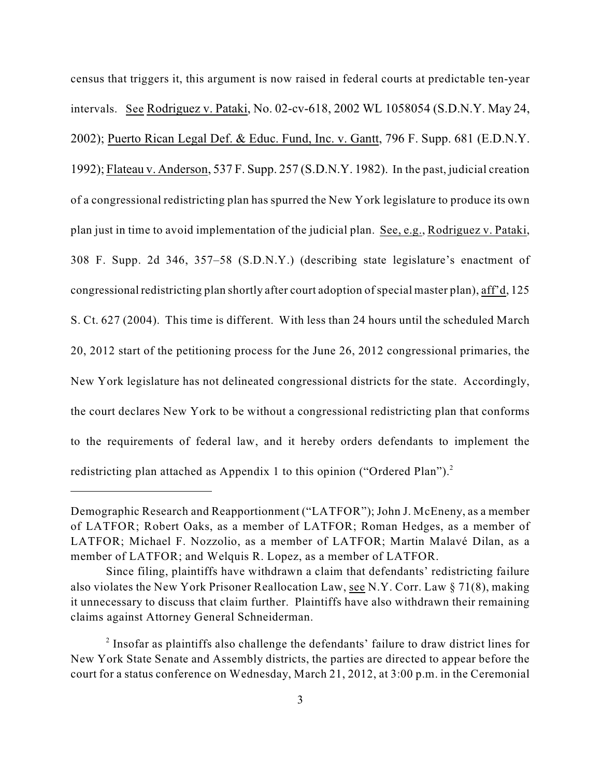census that triggers it, this argument is now raised in federal courts at predictable ten-year intervals. See Rodriguez v. Pataki, No. 02-cv-618, 2002 WL 1058054 (S.D.N.Y. May 24, 2002); Puerto Rican Legal Def. & Educ. Fund, Inc. v. Gantt, 796 F. Supp. 681 (E.D.N.Y. 1992); Flateau v. Anderson, 537 F. Supp. 257 (S.D.N.Y. 1982). In the past, judicial creation of a congressional redistricting plan has spurred the New York legislature to produce its own plan just in time to avoid implementation of the judicial plan. See, e.g., Rodriguez v. Pataki, 308 F. Supp. 2d 346, 357–58 (S.D.N.Y.) (describing state legislature's enactment of congressional redistricting plan shortly after court adoption of special master plan), aff'd, 125 S. Ct. 627 (2004). This time is different. With less than 24 hours until the scheduled March 20, 2012 start of the petitioning process for the June 26, 2012 congressional primaries, the New York legislature has not delineated congressional districts for the state. Accordingly, the court declares New York to be without a congressional redistricting plan that conforms to the requirements of federal law, and it hereby orders defendants to implement the redistricting plan attached as Appendix 1 to this opinion ("Ordered Plan").<sup>2</sup>

Demographic Research and Reapportionment ("LATFOR"); John J. McEneny, as a member of LATFOR; Robert Oaks, as a member of LATFOR; Roman Hedges, as a member of LATFOR; Michael F. Nozzolio, as a member of LATFOR; Martin Malavé Dilan, as a member of LATFOR; and Welquis R. Lopez, as a member of LATFOR.

Since filing, plaintiffs have withdrawn a claim that defendants' redistricting failure also violates the New York Prisoner Reallocation Law, see N.Y. Corr. Law § 71(8), making it unnecessary to discuss that claim further. Plaintiffs have also withdrawn their remaining claims against Attorney General Schneiderman.

 $\alpha$ <sup>2</sup> Insofar as plaintiffs also challenge the defendants' failure to draw district lines for New York State Senate and Assembly districts, the parties are directed to appear before the court for a status conference on Wednesday, March 21, 2012, at 3:00 p.m. in the Ceremonial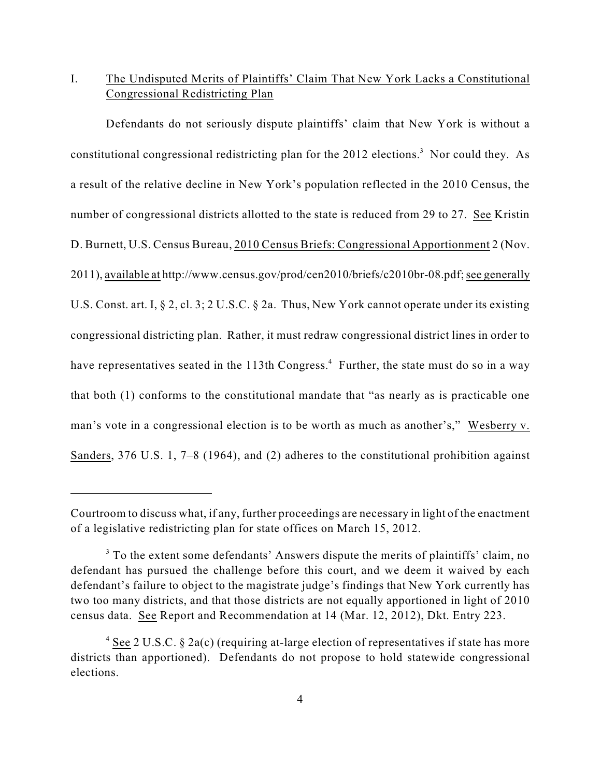# I. The Undisputed Merits of Plaintiffs' Claim That New York Lacks a Constitutional Congressional Redistricting Plan

Defendants do not seriously dispute plaintiffs' claim that New York is without a constitutional congressional redistricting plan for the  $2012$  elections.<sup>3</sup> Nor could they. As a result of the relative decline in New York's population reflected in the 2010 Census, the number of congressional districts allotted to the state is reduced from 29 to 27. See Kristin D. Burnett, U.S. Census Bureau, 2010 Census Briefs: Congressional Apportionment 2 (Nov. 2011), available at http://www.census.gov/prod/cen2010/briefs/c2010br-08.pdf; see generally U.S. Const. art. I, § 2, cl. 3; 2 U.S.C. § 2a. Thus, New York cannot operate under its existing congressional districting plan. Rather, it must redraw congressional district lines in order to have representatives seated in the 113th Congress.<sup>4</sup> Further, the state must do so in a way that both (1) conforms to the constitutional mandate that "as nearly as is practicable one man's vote in a congressional election is to be worth as much as another's," Wesberry v. Sanders, 376 U.S. 1, 7–8 (1964), and (2) adheres to the constitutional prohibition against

Courtroom to discuss what, if any, further proceedings are necessary in light of the enactment of a legislative redistricting plan for state offices on March 15, 2012.

<sup>&</sup>lt;sup>3</sup> To the extent some defendants' Answers dispute the merits of plaintiffs' claim, no defendant has pursued the challenge before this court, and we deem it waived by each defendant's failure to object to the magistrate judge's findings that New York currently has two too many districts, and that those districts are not equally apportioned in light of 2010 census data. See Report and Recommendation at 14 (Mar. 12, 2012), Dkt. Entry 223.

<sup>&</sup>lt;sup>4</sup> See 2 U.S.C. § 2a(c) (requiring at-large election of representatives if state has more districts than apportioned). Defendants do not propose to hold statewide congressional elections.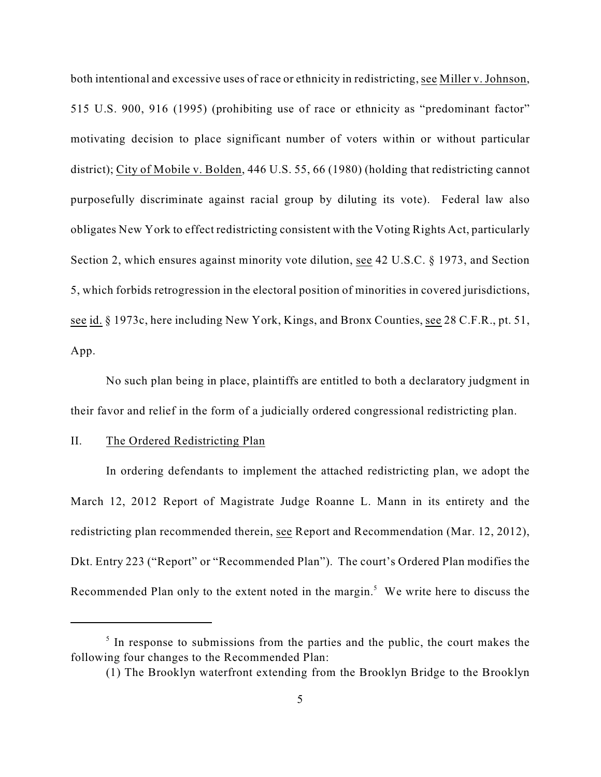both intentional and excessive uses of race or ethnicity in redistricting, see Miller v. Johnson, 515 U.S. 900, 916 (1995) (prohibiting use of race or ethnicity as "predominant factor" motivating decision to place significant number of voters within or without particular district); City of Mobile v. Bolden, 446 U.S. 55, 66 (1980) (holding that redistricting cannot purposefully discriminate against racial group by diluting its vote). Federal law also obligates New York to effect redistricting consistent with the Voting Rights Act, particularly Section 2, which ensures against minority vote dilution, see 42 U.S.C. § 1973, and Section 5, which forbids retrogression in the electoral position of minorities in covered jurisdictions, see id. § 1973c, here including New York, Kings, and Bronx Counties, see 28 C.F.R., pt. 51, App.

No such plan being in place, plaintiffs are entitled to both a declaratory judgment in their favor and relief in the form of a judicially ordered congressional redistricting plan.

# II. The Ordered Redistricting Plan

In ordering defendants to implement the attached redistricting plan, we adopt the March 12, 2012 Report of Magistrate Judge Roanne L. Mann in its entirety and the redistricting plan recommended therein, see Report and Recommendation (Mar. 12, 2012), Dkt. Entry 223 ("Report" or "Recommended Plan"). The court's Ordered Plan modifies the Recommended Plan only to the extent noted in the margin.<sup>5</sup> We write here to discuss the

 $\frac{1}{5}$  In response to submissions from the parties and the public, the court makes the following four changes to the Recommended Plan:

<sup>(1)</sup> The Brooklyn waterfront extending from the Brooklyn Bridge to the Brooklyn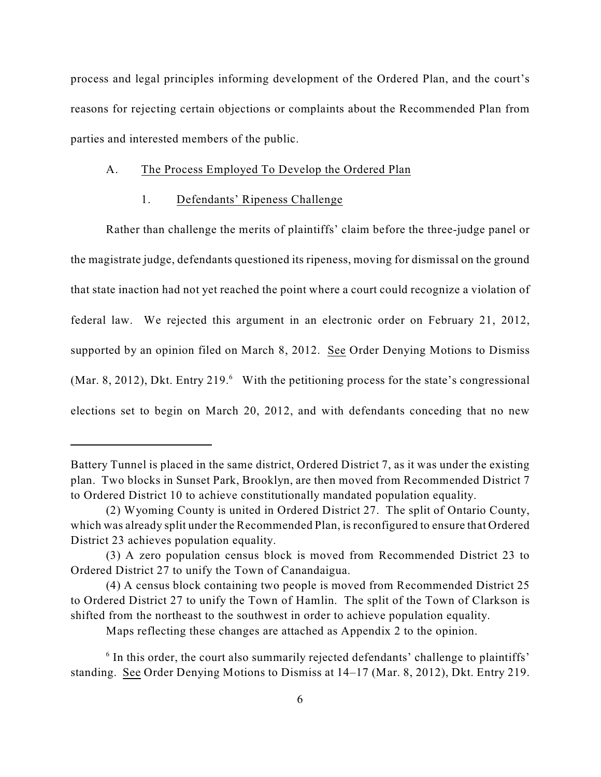process and legal principles informing development of the Ordered Plan, and the court's reasons for rejecting certain objections or complaints about the Recommended Plan from parties and interested members of the public.

# A. The Process Employed To Develop the Ordered Plan

### 1. Defendants' Ripeness Challenge

Rather than challenge the merits of plaintiffs' claim before the three-judge panel or the magistrate judge, defendants questioned its ripeness, moving for dismissal on the ground that state inaction had not yet reached the point where a court could recognize a violation of federal law. We rejected this argument in an electronic order on February 21, 2012, supported by an opinion filed on March 8, 2012. See Order Denying Motions to Dismiss (Mar. 8, 2012), Dkt. Entry 219.<sup>6</sup> With the petitioning process for the state's congressional elections set to begin on March 20, 2012, and with defendants conceding that no new

Battery Tunnel is placed in the same district, Ordered District 7, as it was under the existing plan. Two blocks in Sunset Park, Brooklyn, are then moved from Recommended District 7 to Ordered District 10 to achieve constitutionally mandated population equality.

<sup>(2)</sup> Wyoming County is united in Ordered District 27. The split of Ontario County, which was already split under the Recommended Plan, is reconfigured to ensure that Ordered District 23 achieves population equality.

<sup>(3)</sup> A zero population census block is moved from Recommended District 23 to Ordered District 27 to unify the Town of Canandaigua.

<sup>(4)</sup> A census block containing two people is moved from Recommended District 25 to Ordered District 27 to unify the Town of Hamlin. The split of the Town of Clarkson is shifted from the northeast to the southwest in order to achieve population equality.

Maps reflecting these changes are attached as Appendix 2 to the opinion.

 $6$  In this order, the court also summarily rejected defendants' challenge to plaintiffs' standing. See Order Denying Motions to Dismiss at 14–17 (Mar. 8, 2012), Dkt. Entry 219.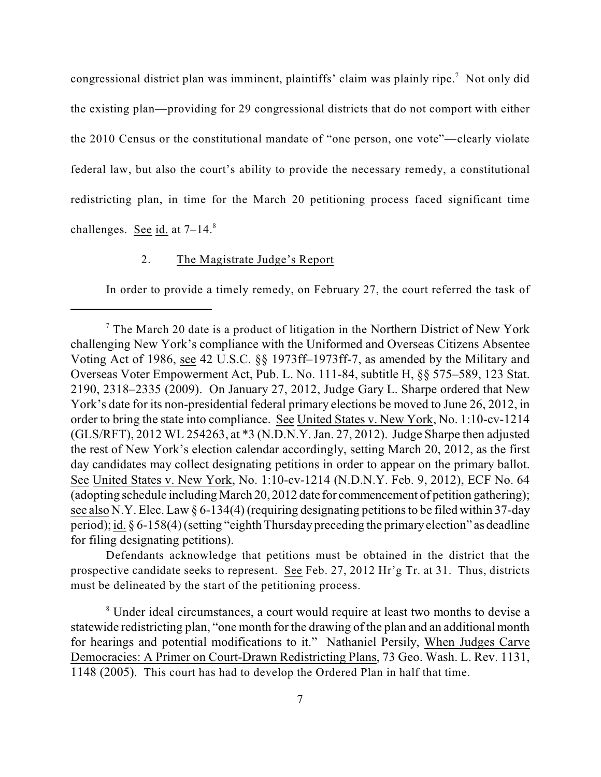congressional district plan was imminent, plaintiffs' claim was plainly ripe.<sup>7</sup> Not only did the existing plan—providing for 29 congressional districts that do not comport with either the 2010 Census or the constitutional mandate of "one person, one vote"—clearly violate federal law, but also the court's ability to provide the necessary remedy, a constitutional redistricting plan, in time for the March 20 petitioning process faced significant time challenges. See  $id.$  at  $7-14.$ <sup>8</sup>

## 2. The Magistrate Judge's Report

In order to provide a timely remedy, on February 27, the court referred the task of

Defendants acknowledge that petitions must be obtained in the district that the prospective candidate seeks to represent. See Feb. 27, 2012 Hr'g Tr. at 31. Thus, districts must be delineated by the start of the petitioning process.

<sup>8</sup> Under ideal circumstances, a court would require at least two months to devise a statewide redistricting plan, "one month for the drawing of the plan and an additional month for hearings and potential modifications to it." Nathaniel Persily, When Judges Carve Democracies: A Primer on Court-Drawn Redistricting Plans, 73 Geo. Wash. L. Rev. 1131, 1148 (2005). This court has had to develop the Ordered Plan in half that time.

 $\frac{7}{7}$  The March 20 date is a product of litigation in the Northern District of New York challenging New York's compliance with the Uniformed and Overseas Citizens Absentee Voting Act of 1986, see 42 U.S.C. §§ 1973ff–1973ff-7, as amended by the Military and Overseas Voter Empowerment Act, Pub. L. No. 111-84, subtitle H, §§ 575–589, 123 Stat. 2190, 2318–2335 (2009). On January 27, 2012, Judge Gary L. Sharpe ordered that New York's date for its non-presidential federal primary elections be moved to June 26, 2012, in order to bring the state into compliance. See United States v. New York, No. 1:10-cv-1214 (GLS/RFT), 2012 WL 254263, at \*3 (N.D.N.Y. Jan. 27, 2012). Judge Sharpe then adjusted the rest of New York's election calendar accordingly, setting March 20, 2012, as the first day candidates may collect designating petitions in order to appear on the primary ballot. See United States v. New York, No. 1:10-cv-1214 (N.D.N.Y. Feb. 9, 2012), ECF No. 64 (adopting schedule including March 20, 2012 date for commencement of petition gathering); see also N.Y. Elec. Law § 6-134(4) (requiring designating petitions to be filed within 37-day period); id. § 6-158(4)(setting "eighth Thursday preceding the primary election" as deadline for filing designating petitions).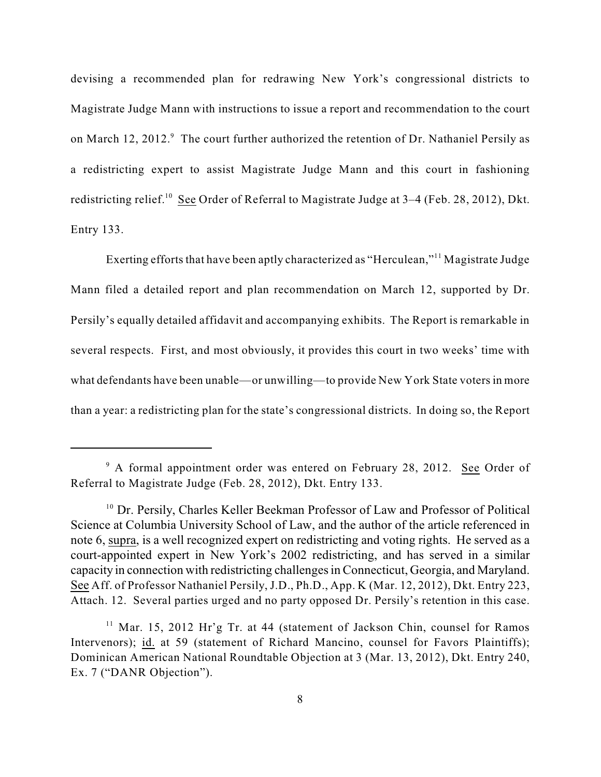devising a recommended plan for redrawing New York's congressional districts to Magistrate Judge Mann with instructions to issue a report and recommendation to the court on March 12, 2012.<sup>9</sup> The court further authorized the retention of Dr. Nathaniel Persily as a redistricting expert to assist Magistrate Judge Mann and this court in fashioning redistricting relief.<sup>10</sup> See Order of Referral to Magistrate Judge at 3–4 (Feb. 28, 2012), Dkt. Entry 133.

Exerting efforts that have been aptly characterized as "Herculean,"<sup>11</sup> Magistrate Judge Mann filed a detailed report and plan recommendation on March 12, supported by Dr. Persily's equally detailed affidavit and accompanying exhibits. The Report is remarkable in several respects. First, and most obviously, it provides this court in two weeks' time with what defendants have been unable—or unwilling—to provide New York State voters in more than a year: a redistricting plan for the state's congressional districts. In doing so, the Report

 $9$  A formal appointment order was entered on February 28, 2012. See Order of Referral to Magistrate Judge (Feb. 28, 2012), Dkt. Entry 133.

<sup>&</sup>lt;sup>10</sup> Dr. Persily, Charles Keller Beekman Professor of Law and Professor of Political Science at Columbia University School of Law, and the author of the article referenced in note 6, supra, is a well recognized expert on redistricting and voting rights. He served as a court-appointed expert in New York's 2002 redistricting, and has served in a similar capacity in connection with redistricting challengesin Connecticut, Georgia, and Maryland. See Aff. of Professor Nathaniel Persily, J.D., Ph.D., App. K (Mar. 12, 2012), Dkt. Entry 223, Attach. 12. Several parties urged and no party opposed Dr. Persily's retention in this case.

<sup>&</sup>lt;sup>11</sup> Mar. 15, 2012 Hr'g Tr. at 44 (statement of Jackson Chin, counsel for Ramos Intervenors); id. at 59 (statement of Richard Mancino, counsel for Favors Plaintiffs); Dominican American National Roundtable Objection at 3 (Mar. 13, 2012), Dkt. Entry 240, Ex. 7 ("DANR Objection").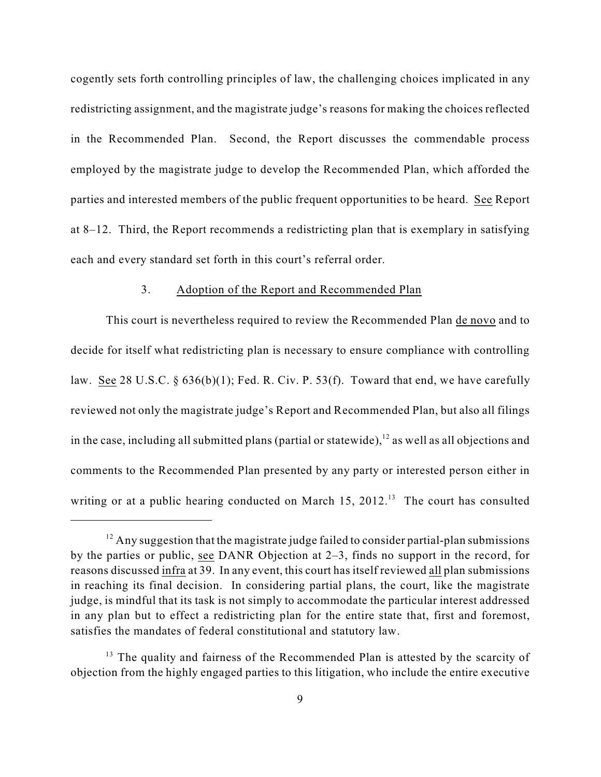cogently sets forth controlling principles of law, the challenging choices implicated in any redistricting assignment, and the magistrate judge's reasons for making the choices reflected in the Recommended Plan. Second, the Report discusses the commendable process employed by the magistrate judge to develop the Recommended Plan, which afforded the parties and interested members of the public frequent opportunities to be heard. See Report at 8–12. Third, the Report recommends a redistricting plan that is exemplary in satisfying each and every standard set forth in this court's referral order.

#### 3. Adoption of the Report and Recommended Plan

This court is nevertheless required to review the Recommended Plan de novo and to decide for itself what redistricting plan is necessary to ensure compliance with controlling law. See 28 U.S.C. § 636(b)(1); Fed. R. Civ. P. 53(f). Toward that end, we have carefully reviewed not only the magistrate judge's Report and Recommended Plan, but also all filings in the case, including all submitted plans (partial or statewide),  $\frac{12}{2}$  as well as all objections and comments to the Recommended Plan presented by any party or interested person either in writing or at a public hearing conducted on March  $15$ ,  $2012$ .<sup>13</sup> The court has consulted

 $12$  Any suggestion that the magistrate judge failed to consider partial-plan submissions by the parties or public, see DANR Objection at 2–3, finds no support in the record, for reasons discussed infra at 39. In any event, this court has itself reviewed all plan submissions in reaching its final decision. In considering partial plans, the court, like the magistrate judge, is mindful that its task is not simply to accommodate the particular interest addressed in any plan but to effect a redistricting plan for the entire state that, first and foremost, satisfies the mandates of federal constitutional and statutory law.

 $13$  The quality and fairness of the Recommended Plan is attested by the scarcity of objection from the highly engaged parties to this litigation, who include the entire executive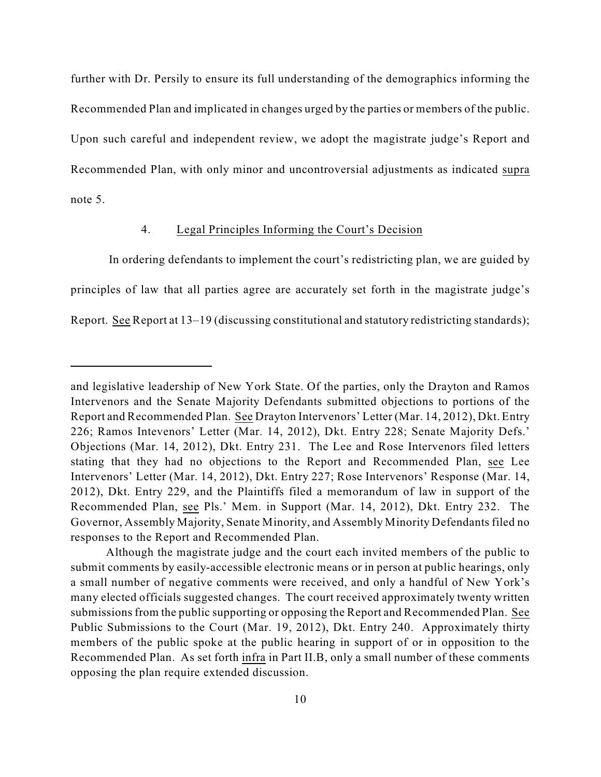further with Dr. Persily to ensure its full understanding of the demographics informing the Recommended Plan and implicated in changes urged by the parties or members of the public. Upon such careful and independent review, we adopt the magistrate judge's Report and Recommended Plan, with only minor and uncontroversial adjustments as indicated supra note 5.

#### 4. Legal Principles Informing the Court's Decision

 In ordering defendants to implement the court's redistricting plan, we are guided by principles of law that all parties agree are accurately set forth in the magistrate judge's Report. See Report at 13–19 (discussing constitutional and statutory redistricting standards);

and legislative leadership of New York State. Of the parties, only the Drayton and Ramos Intervenors and the Senate Majority Defendants submitted objections to portions of the Report and Recommended Plan. See Drayton Intervenors' Letter (Mar. 14, 2012), Dkt. Entry 226; Ramos Intevenors' Letter (Mar. 14, 2012), Dkt. Entry 228; Senate Majority Defs.' Objections (Mar. 14, 2012), Dkt. Entry 231. The Lee and Rose Intervenors filed letters stating that they had no objections to the Report and Recommended Plan, see Lee Intervenors' Letter (Mar. 14, 2012), Dkt. Entry 227; Rose Intervenors' Response (Mar. 14, 2012), Dkt. Entry 229, and the Plaintiffs filed a memorandum of law in support of the Recommended Plan, see Pls.' Mem. in Support (Mar. 14, 2012), Dkt. Entry 232. The Governor, Assembly Majority, Senate Minority, and Assembly Minority Defendants filed no responses to the Report and Recommended Plan.

Although the magistrate judge and the court each invited members of the public to submit comments by easily-accessible electronic means or in person at public hearings, only a small number of negative comments were received, and only a handful of New York's many elected officials suggested changes. The court received approximately twenty written submissions from the public supporting or opposing the Report and Recommended Plan. See Public Submissions to the Court (Mar. 19, 2012), Dkt. Entry 240. Approximately thirty members of the public spoke at the public hearing in support of or in opposition to the Recommended Plan. As set forth infra in Part II.B, only a small number of these comments opposing the plan require extended discussion.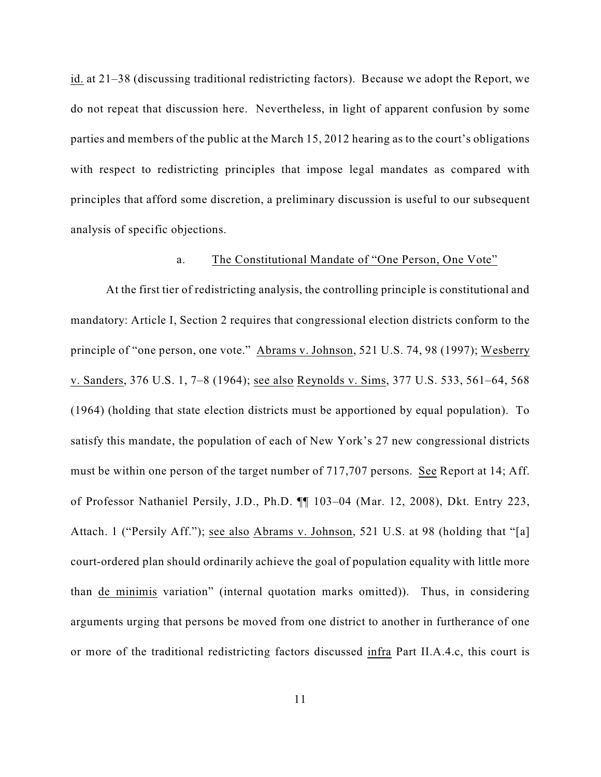id. at 21–38 (discussing traditional redistricting factors). Because we adopt the Report, we do not repeat that discussion here. Nevertheless, in light of apparent confusion by some parties and members of the public at the March 15, 2012 hearing as to the court's obligations with respect to redistricting principles that impose legal mandates as compared with principles that afford some discretion, a preliminary discussion is useful to our subsequent analysis of specific objections.

#### a. The Constitutional Mandate of "One Person, One Vote"

At the first tier of redistricting analysis, the controlling principle is constitutional and mandatory: Article I, Section 2 requires that congressional election districts conform to the principle of "one person, one vote." Abrams v. Johnson, 521 U.S. 74, 98 (1997); Wesberry v. Sanders, 376 U.S. 1, 7–8 (1964); see also Reynolds v. Sims, 377 U.S. 533, 561–64, 568 (1964) (holding that state election districts must be apportioned by equal population).To satisfy this mandate, the population of each of New York's 27 new congressional districts must be within one person of the target number of 717,707 persons. See Report at 14; Aff. of Professor Nathaniel Persily, J.D., Ph.D. ¶¶ 103–04 (Mar. 12, 2008), Dkt. Entry 223, Attach. 1 ("Persily Aff."); see also Abrams v. Johnson, 521 U.S. at 98 (holding that "[a] court-ordered plan should ordinarily achieve the goal of population equality with little more than de minimis variation" (internal quotation marks omitted)). Thus, in considering arguments urging that persons be moved from one district to another in furtherance of one or more of the traditional redistricting factors discussed infra Part II.A.4.c, this court is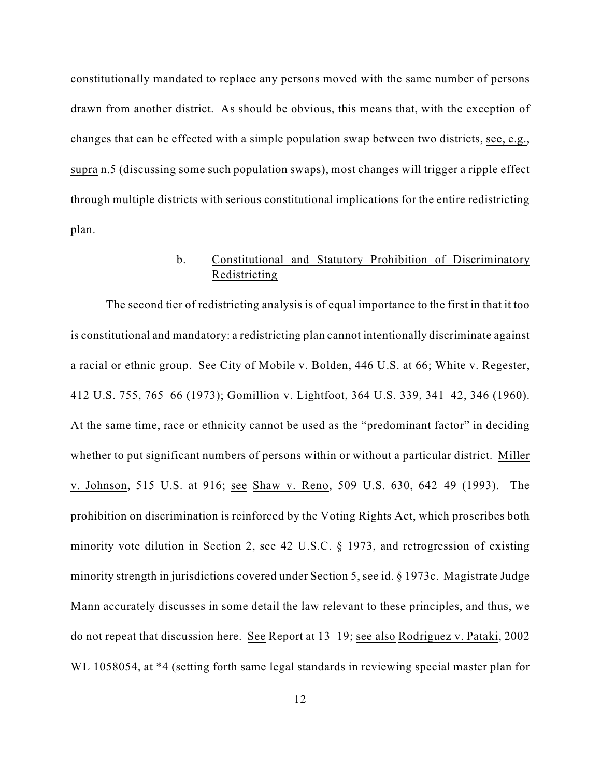constitutionally mandated to replace any persons moved with the same number of persons drawn from another district. As should be obvious, this means that, with the exception of changes that can be effected with a simple population swap between two districts, see, e.g., supra n.5 (discussing some such population swaps), most changes will trigger a ripple effect through multiple districts with serious constitutional implications for the entire redistricting plan.

# b. Constitutional and Statutory Prohibition of Discriminatory Redistricting

The second tier of redistricting analysis is of equal importance to the first in that it too is constitutional and mandatory: a redistricting plan cannot intentionally discriminate against a racial or ethnic group. See City of Mobile v. Bolden, 446 U.S. at 66; White v. Regester, 412 U.S. 755, 765–66 (1973); Gomillion v. Lightfoot, 364 U.S. 339, 341–42, 346 (1960). At the same time, race or ethnicity cannot be used as the "predominant factor" in deciding whether to put significant numbers of persons within or without a particular district. Miller v. Johnson, 515 U.S. at 916; see Shaw v. Reno, 509 U.S. 630, 642–49 (1993). The prohibition on discrimination is reinforced by the Voting Rights Act, which proscribes both minority vote dilution in Section 2, see 42 U.S.C. § 1973, and retrogression of existing minority strength in jurisdictions covered under Section 5, see id. § 1973c. Magistrate Judge Mann accurately discusses in some detail the law relevant to these principles, and thus, we do not repeat that discussion here. See Report at 13–19; see also Rodriguez v. Pataki, 2002 WL 1058054, at \*4 (setting forth same legal standards in reviewing special master plan for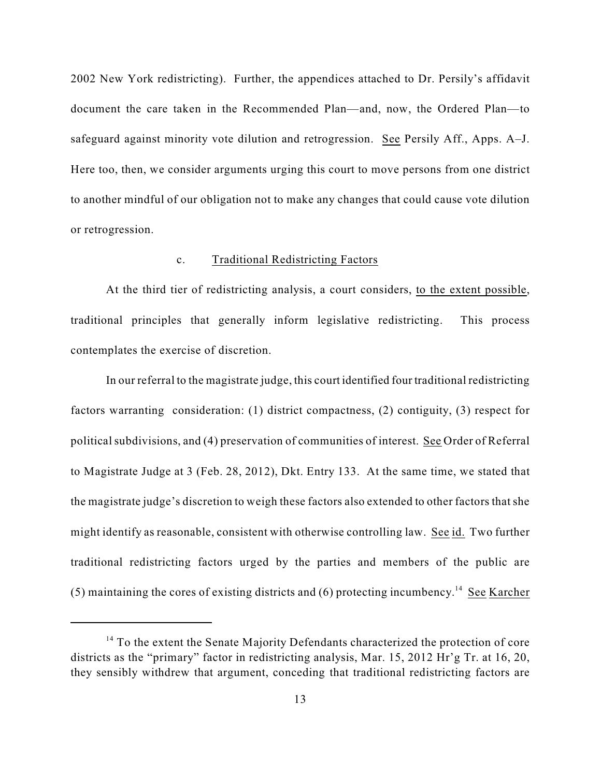2002 New York redistricting). Further, the appendices attached to Dr. Persily's affidavit document the care taken in the Recommended Plan—and, now, the Ordered Plan—to safeguard against minority vote dilution and retrogression. See Persily Aff., Apps. A–J. Here too, then, we consider arguments urging this court to move persons from one district to another mindful of our obligation not to make any changes that could cause vote dilution or retrogression.

## c. Traditional Redistricting Factors

At the third tier of redistricting analysis, a court considers, to the extent possible, traditional principles that generally inform legislative redistricting. This process contemplates the exercise of discretion.

In our referral to the magistrate judge, this court identified four traditional redistricting factors warranting consideration: (1) district compactness, (2) contiguity, (3) respect for political subdivisions, and (4) preservation of communities of interest.See Order of Referral to Magistrate Judge at 3 (Feb. 28, 2012), Dkt. Entry 133.At the same time, we stated that the magistrate judge's discretion to weigh these factors also extended to other factors that she might identify as reasonable, consistent with otherwise controlling law. See id. Two further traditional redistricting factors urged by the parties and members of the public are (5) maintaining the cores of existing districts and (6) protecting incumbency.<sup>14</sup> See Karcher

 $14$  To the extent the Senate Majority Defendants characterized the protection of core districts as the "primary" factor in redistricting analysis, Mar. 15, 2012 Hr'g Tr. at 16, 20, they sensibly withdrew that argument, conceding that traditional redistricting factors are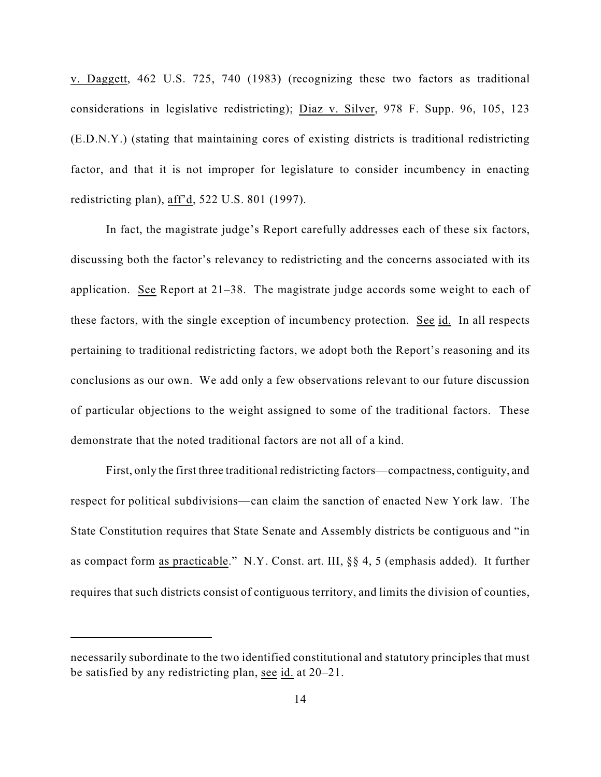v. Daggett, 462 U.S. 725, 740 (1983) (recognizing these two factors as traditional considerations in legislative redistricting); Diaz v. Silver, 978 F. Supp. 96, 105, 123 (E.D.N.Y.) (stating that maintaining cores of existing districts is traditional redistricting factor, and that it is not improper for legislature to consider incumbency in enacting redistricting plan), aff'd, 522 U.S. 801 (1997).

In fact, the magistrate judge's Report carefully addresses each of these six factors, discussing both the factor's relevancy to redistricting and the concerns associated with its application. See Report at 21–38. The magistrate judge accords some weight to each of these factors, with the single exception of incumbency protection. See id. In all respects pertaining to traditional redistricting factors, we adopt both the Report's reasoning and its conclusions as our own. We add only a few observations relevant to our future discussion of particular objections to the weight assigned to some of the traditional factors. These demonstrate that the noted traditional factors are not all of a kind.

First, only the first three traditional redistricting factors—compactness, contiguity, and respect for political subdivisions—can claim the sanction of enacted New York law. The State Constitution requires that State Senate and Assembly districts be contiguous and "in as compact form as practicable."N.Y. Const. art. III, §§ 4, 5 (emphasis added). It further requires that such districts consist of contiguous territory, and limits the division of counties,

necessarily subordinate to the two identified constitutional and statutory principles that must be satisfied by any redistricting plan, see id. at 20–21.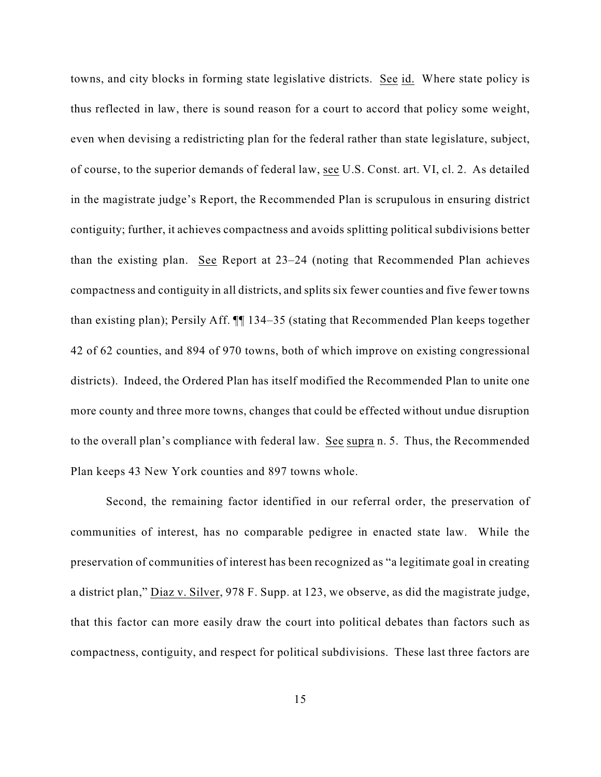towns, and city blocks in forming state legislative districts. See id. Where state policy is thus reflected in law, there is sound reason for a court to accord that policy some weight, even when devising a redistricting plan for the federal rather than state legislature, subject, of course, to the superior demands of federal law, see U.S. Const. art. VI, cl. 2. As detailed in the magistrate judge's Report, the Recommended Plan is scrupulous in ensuring district contiguity; further, it achieves compactness and avoids splitting political subdivisions better than the existing plan. See Report at 23–24 (noting that Recommended Plan achieves compactness and contiguity in all districts, and splits six fewer counties and five fewer towns than existing plan); Persily Aff. ¶¶ 134–35 (stating that Recommended Plan keeps together 42 of 62 counties, and 894 of 970 towns, both of which improve on existing congressional districts). Indeed, the Ordered Plan has itself modified the Recommended Plan to unite one more county and three more towns, changes that could be effected without undue disruption to the overall plan's compliance with federal law. See supra n. 5. Thus, the Recommended Plan keeps 43 New York counties and 897 towns whole.

Second, the remaining factor identified in our referral order, the preservation of communities of interest, has no comparable pedigree in enacted state law. While the preservation of communities of interest has been recognized as "a legitimate goal in creating a district plan," Diaz v. Silver, 978 F. Supp. at 123, we observe, as did the magistrate judge, that this factor can more easily draw the court into political debates than factors such as compactness, contiguity, and respect for political subdivisions. These last three factors are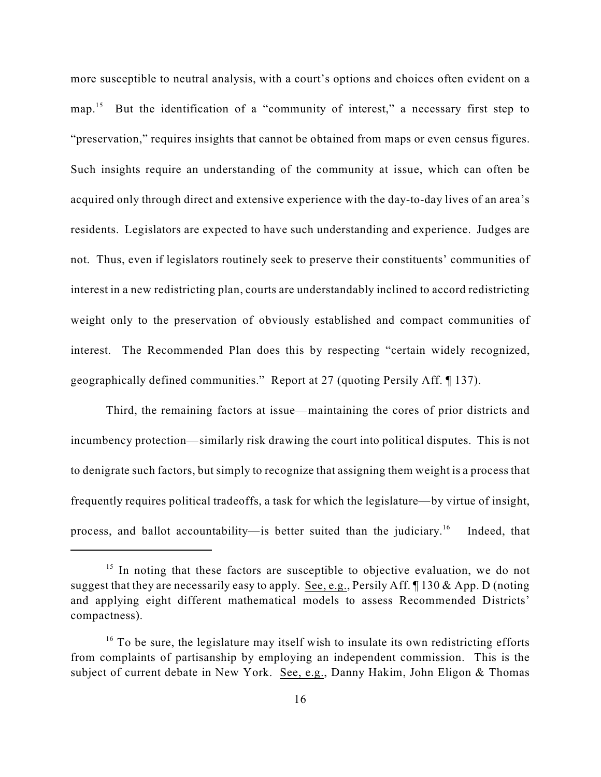more susceptible to neutral analysis, with a court's options and choices often evident on a map.<sup>15</sup> But the identification of a "community of interest," a necessary first step to "preservation," requires insights that cannot be obtained from maps or even census figures. Such insights require an understanding of the community at issue, which can often be acquired only through direct and extensive experience with the day-to-day lives of an area's residents. Legislators are expected to have such understanding and experience. Judges are not. Thus, even if legislators routinely seek to preserve their constituents' communities of interest in a new redistricting plan, courts are understandably inclined to accord redistricting weight only to the preservation of obviously established and compact communities of interest. The Recommended Plan does this by respecting "certain widely recognized, geographically defined communities." Report at 27 (quoting Persily Aff. ¶ 137).

Third, the remaining factors at issue—maintaining the cores of prior districts and incumbency protection—similarly risk drawing the court into political disputes. This is not to denigrate such factors, but simply to recognize that assigning them weight is a process that frequently requires political tradeoffs, a task for which the legislature—by virtue of insight, process, and ballot accountability—is better suited than the judiciary.<sup>16</sup> Indeed, that

 $15$  In noting that these factors are susceptible to objective evaluation, we do not suggest that they are necessarily easy to apply. See, e.g., Persily Aff. ¶ 130 & App. D (noting and applying eight different mathematical models to assess Recommended Districts' compactness).

 $16$  To be sure, the legislature may itself wish to insulate its own redistricting efforts from complaints of partisanship by employing an independent commission. This is the subject of current debate in New York. See, e.g., Danny Hakim, John Eligon & Thomas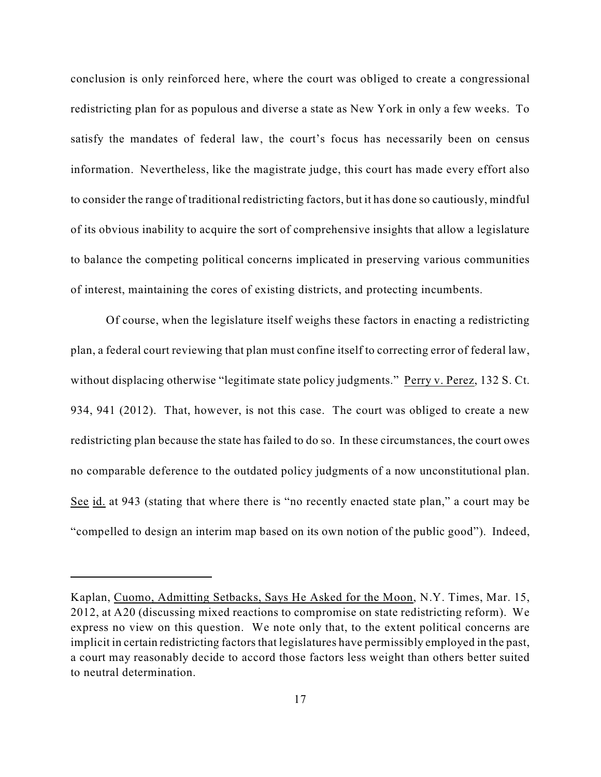conclusion is only reinforced here, where the court was obliged to create a congressional redistricting plan for as populous and diverse a state as New York in only a few weeks. To satisfy the mandates of federal law, the court's focus has necessarily been on census information. Nevertheless, like the magistrate judge, this court has made every effort also to consider the range of traditional redistricting factors, but it has done so cautiously, mindful of its obvious inability to acquire the sort of comprehensive insights that allow a legislature to balance the competing political concerns implicated in preserving various communities of interest, maintaining the cores of existing districts, and protecting incumbents.

Of course, when the legislature itself weighs these factors in enacting a redistricting plan, a federal court reviewing that plan must confine itself to correcting error of federal law, without displacing otherwise "legitimate state policy judgments." Perry v. Perez, 132 S. Ct. 934, 941 (2012). That, however, is not this case. The court was obliged to create a new redistricting plan because the state has failed to do so. In these circumstances, the court owes no comparable deference to the outdated policy judgments of a now unconstitutional plan. See id. at 943 (stating that where there is "no recently enacted state plan," a court may be "compelled to design an interim map based on its own notion of the public good"). Indeed,

Kaplan, Cuomo, Admitting Setbacks, Says He Asked for the Moon, N.Y. Times, Mar. 15, 2012, at A20 (discussing mixed reactions to compromise on state redistricting reform). We express no view on this question. We note only that, to the extent political concerns are implicit in certain redistricting factors that legislatures have permissibly employed in the past, a court may reasonably decide to accord those factors less weight than others better suited to neutral determination.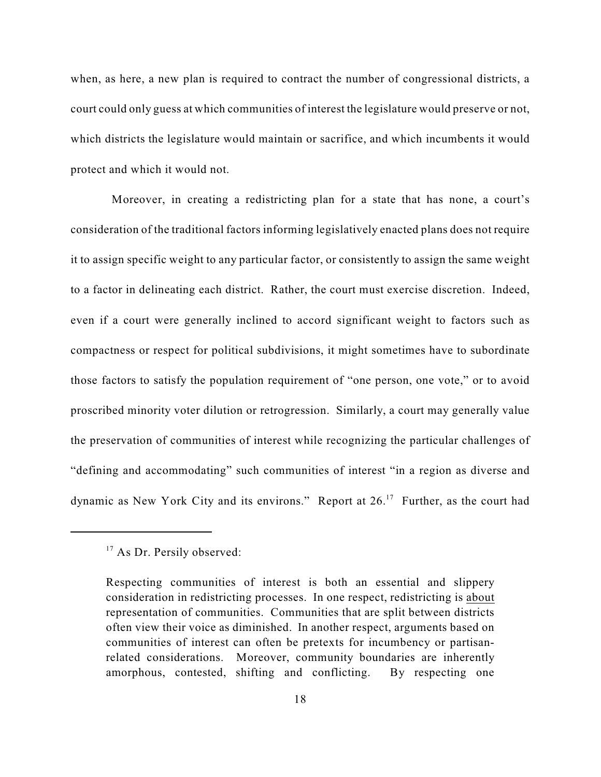when, as here, a new plan is required to contract the number of congressional districts, a court could only guess at which communities of interest the legislature would preserve or not, which districts the legislature would maintain or sacrifice, and which incumbents it would protect and which it would not.

 Moreover, in creating a redistricting plan for a state that has none, a court's consideration of the traditional factors informing legislatively enacted plans does not require it to assign specific weight to any particular factor, or consistently to assign the same weight to a factor in delineating each district. Rather, the court must exercise discretion. Indeed, even if a court were generally inclined to accord significant weight to factors such as compactness or respect for political subdivisions, it might sometimes have to subordinate those factors to satisfy the population requirement of "one person, one vote," or to avoid proscribed minority voter dilution or retrogression. Similarly, a court may generally value the preservation of communities of interest while recognizing the particular challenges of "defining and accommodating" such communities of interest "in a region as diverse and dynamic as New York City and its environs." Report at  $26$ .<sup>17</sup> Further, as the court had

 $17$  As Dr. Persily observed:

Respecting communities of interest is both an essential and slippery consideration in redistricting processes. In one respect, redistricting is about representation of communities. Communities that are split between districts often view their voice as diminished. In another respect, arguments based on communities of interest can often be pretexts for incumbency or partisanrelated considerations. Moreover, community boundaries are inherently amorphous, contested, shifting and conflicting. By respecting one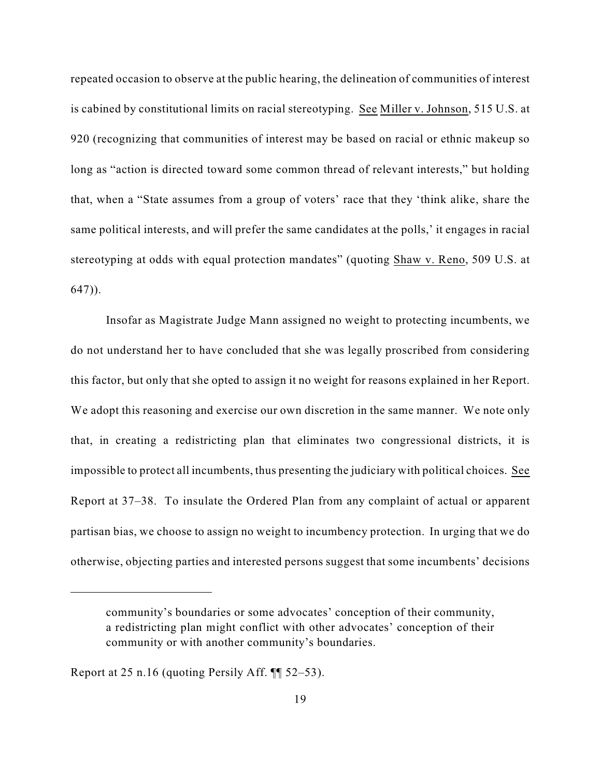repeated occasion to observe at the public hearing, the delineation of communities of interest is cabined by constitutional limits on racial stereotyping. See Miller v. Johnson, 515 U.S. at 920 (recognizing that communities of interest may be based on racial or ethnic makeup so long as "action is directed toward some common thread of relevant interests," but holding that, when a "State assumes from a group of voters' race that they 'think alike, share the same political interests, and will prefer the same candidates at the polls,' it engages in racial stereotyping at odds with equal protection mandates" (quoting Shaw v. Reno, 509 U.S. at 647)).

Insofar as Magistrate Judge Mann assigned no weight to protecting incumbents, we do not understand her to have concluded that she was legally proscribed from considering this factor, but only that she opted to assign it no weight for reasons explained in her Report. We adopt this reasoning and exercise our own discretion in the same manner. We note only that, in creating a redistricting plan that eliminates two congressional districts, it is impossible to protect all incumbents, thus presenting the judiciary with political choices. See Report at 37–38. To insulate the Ordered Plan from any complaint of actual or apparent partisan bias, we choose to assign no weight to incumbency protection. In urging that we do otherwise, objecting parties and interested persons suggest that some incumbents' decisions

community's boundaries or some advocates' conception of their community, a redistricting plan might conflict with other advocates' conception of their community or with another community's boundaries.

Report at 25 n.16 (quoting Persily Aff. ¶¶ 52–53).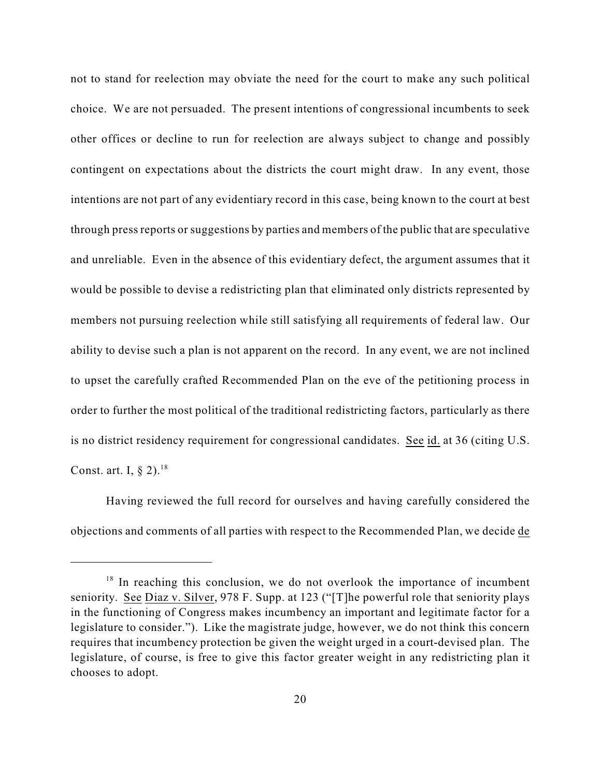not to stand for reelection may obviate the need for the court to make any such political choice. We are not persuaded. The present intentions of congressional incumbents to seek other offices or decline to run for reelection are always subject to change and possibly contingent on expectations about the districts the court might draw. In any event, those intentions are not part of any evidentiary record in this case, being known to the court at best through press reports or suggestions by parties and members of the public that are speculative and unreliable. Even in the absence of this evidentiary defect, the argument assumes that it would be possible to devise a redistricting plan that eliminated only districts represented by members not pursuing reelection while still satisfying all requirements of federal law. Our ability to devise such a plan is not apparent on the record. In any event, we are not inclined to upset the carefully crafted Recommended Plan on the eve of the petitioning process in order to further the most political of the traditional redistricting factors, particularly as there is no district residency requirement for congressional candidates. See id. at 36 (citing U.S. Const. art. I,  $\S 2$ ).<sup>18</sup>

Having reviewed the full record for ourselves and having carefully considered the objections and comments of all parties with respect to the Recommended Plan, we decide de

 $18$  In reaching this conclusion, we do not overlook the importance of incumbent seniority. See Diaz v. Silver, 978 F. Supp. at 123 ("[T]he powerful role that seniority plays in the functioning of Congress makes incumbency an important and legitimate factor for a legislature to consider."). Like the magistrate judge, however, we do not think this concern requires that incumbency protection be given the weight urged in a court-devised plan. The legislature, of course, is free to give this factor greater weight in any redistricting plan it chooses to adopt.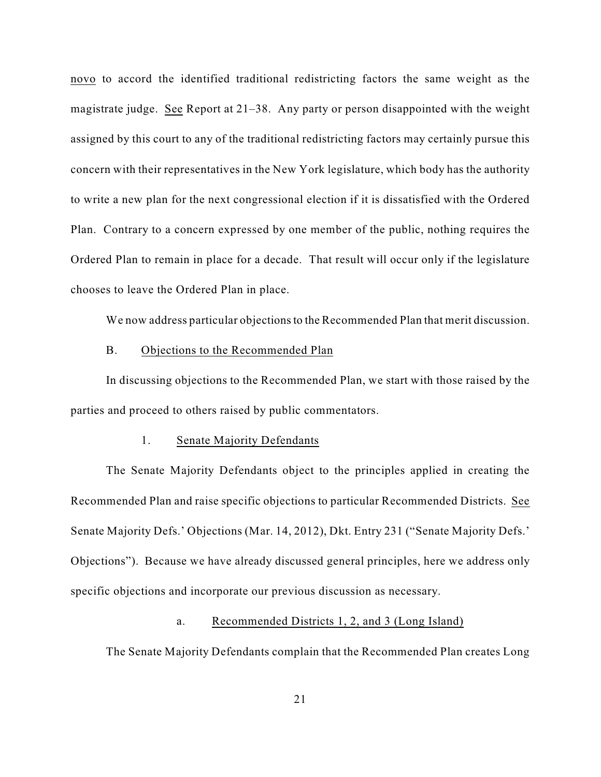novo to accord the identified traditional redistricting factors the same weight as the magistrate judge. See Report at 21–38. Any party or person disappointed with the weight assigned by this court to any of the traditional redistricting factors may certainly pursue this concern with their representatives in the New York legislature, which body has the authority to write a new plan for the next congressional election if it is dissatisfied with the Ordered Plan. Contrary to a concern expressed by one member of the public, nothing requires the Ordered Plan to remain in place for a decade. That result will occur only if the legislature chooses to leave the Ordered Plan in place.

We now address particular objections to the Recommended Plan that merit discussion.

#### B. Objections to the Recommended Plan

In discussing objections to the Recommended Plan, we start with those raised by the parties and proceed to others raised by public commentators.

#### 1. Senate Majority Defendants

The Senate Majority Defendants object to the principles applied in creating the Recommended Plan and raise specific objections to particular Recommended Districts. See Senate Majority Defs.' Objections (Mar. 14, 2012), Dkt. Entry 231 ("Senate Majority Defs.' Objections"). Because we have already discussed general principles, here we address only specific objections and incorporate our previous discussion as necessary.

### a. Recommended Districts 1, 2, and 3 (Long Island)

The Senate Majority Defendants complain that the Recommended Plan creates Long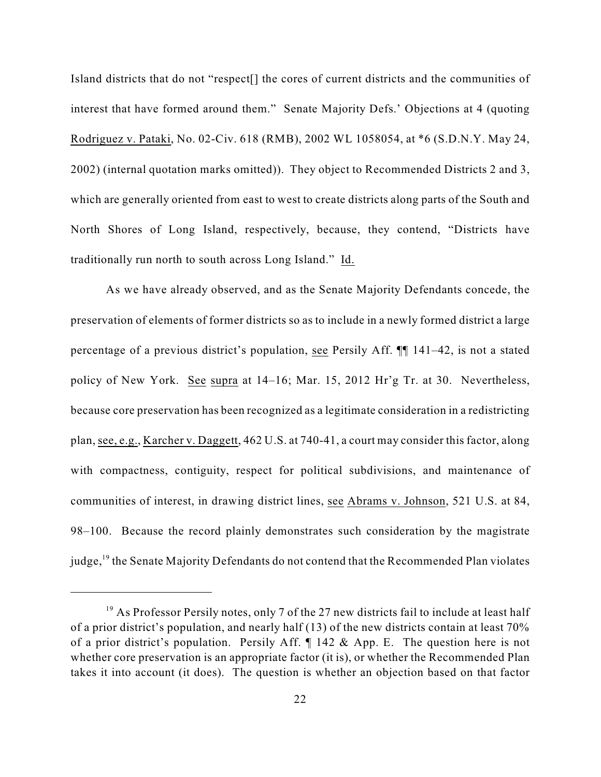Island districts that do not "respect[] the cores of current districts and the communities of interest that have formed around them." Senate Majority Defs.' Objections at 4 (quoting Rodriguez v. Pataki, No. 02-Civ. 618 (RMB), 2002 WL 1058054, at \*6 (S.D.N.Y. May 24, 2002) (internal quotation marks omitted)). They object to Recommended Districts 2 and 3, which are generally oriented from east to west to create districts along parts of the South and North Shores of Long Island, respectively, because, they contend, "Districts have traditionally run north to south across Long Island." Id.

As we have already observed, and as the Senate Majority Defendants concede, the preservation of elements of former districts so as to include in a newly formed district a large percentage of a previous district's population, see Persily Aff. ¶¶ 141–42, is not a stated policy of New York. See supra at 14–16; Mar. 15, 2012 Hr'g Tr. at 30. Nevertheless, because core preservation has been recognized as a legitimate consideration in a redistricting plan, see, e.g., Karcher v. Daggett, 462 U.S. at 740-41, a court may consider this factor, along with compactness, contiguity, respect for political subdivisions, and maintenance of communities of interest, in drawing district lines, see Abrams v. Johnson, 521 U.S. at 84, 98–100. Because the record plainly demonstrates such consideration by the magistrate judge, <sup>19</sup> the Senate Majority Defendants do not contend that the Recommended Plan violates

<sup>&</sup>lt;sup>19</sup> As Professor Persily notes, only 7 of the 27 new districts fail to include at least half of a prior district's population, and nearly half (13) of the new districts contain at least 70% of a prior district's population. Persily Aff. ¶ 142 & App. E. The question here is not whether core preservation is an appropriate factor (it is), or whether the Recommended Plan takes it into account (it does). The question is whether an objection based on that factor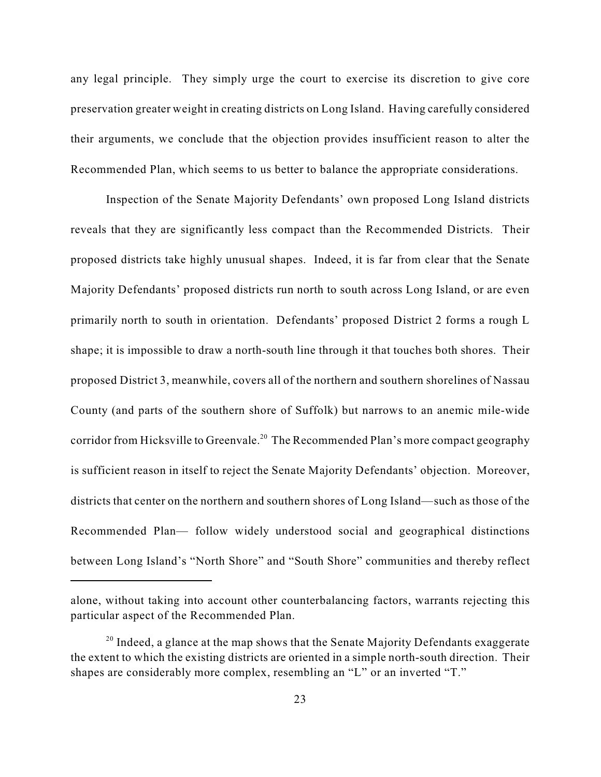any legal principle. They simply urge the court to exercise its discretion to give core preservation greater weight in creating districts on Long Island. Having carefully considered their arguments, we conclude that the objection provides insufficient reason to alter the Recommended Plan, which seems to us better to balance the appropriate considerations.

Inspection of the Senate Majority Defendants' own proposed Long Island districts reveals that they are significantly less compact than the Recommended Districts. Their proposed districts take highly unusual shapes. Indeed, it is far from clear that the Senate Majority Defendants' proposed districts run north to south across Long Island, or are even primarily north to south in orientation. Defendants' proposed District 2 forms a rough L shape; it is impossible to draw a north-south line through it that touches both shores. Their proposed District 3, meanwhile, covers all of the northern and southern shorelines of Nassau County (and parts of the southern shore of Suffolk) but narrows to an anemic mile-wide corridor from Hicksville to Greenvale.<sup>20</sup> The Recommended Plan's more compact geography is sufficient reason in itself to reject the Senate Majority Defendants' objection. Moreover, districts that center on the northern and southern shores of Long Island—such as those of the Recommended Plan— follow widely understood social and geographical distinctions between Long Island's "North Shore" and "South Shore" communities and thereby reflect

alone, without taking into account other counterbalancing factors, warrants rejecting this particular aspect of the Recommended Plan.

 $10^{20}$  Indeed, a glance at the map shows that the Senate Majority Defendants exaggerate the extent to which the existing districts are oriented in a simple north-south direction. Their shapes are considerably more complex, resembling an "L" or an inverted "T."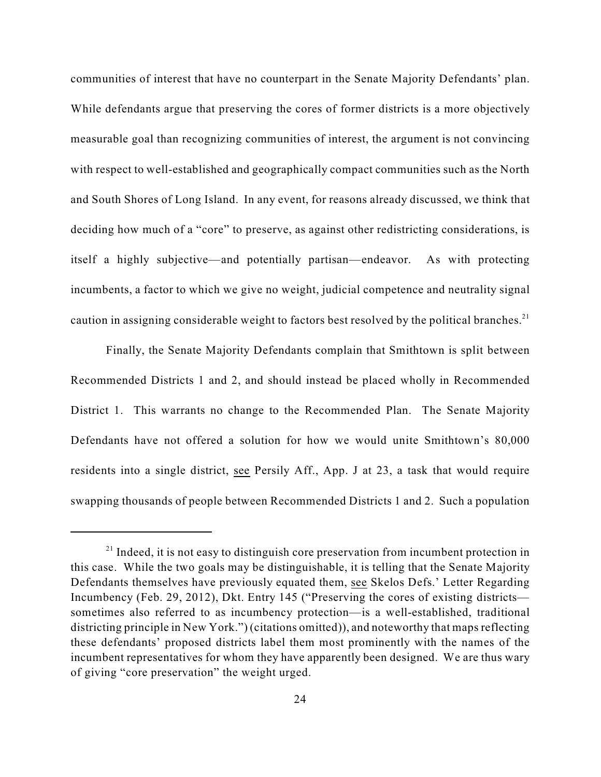communities of interest that have no counterpart in the Senate Majority Defendants' plan. While defendants argue that preserving the cores of former districts is a more objectively measurable goal than recognizing communities of interest, the argument is not convincing with respect to well-established and geographically compact communities such as the North and South Shores of Long Island. In any event, for reasons already discussed, we think that deciding how much of a "core" to preserve, as against other redistricting considerations, is itself a highly subjective—and potentially partisan—endeavor. As with protecting incumbents, a factor to which we give no weight, judicial competence and neutrality signal caution in assigning considerable weight to factors best resolved by the political branches.<sup>21</sup>

Finally, the Senate Majority Defendants complain that Smithtown is split between Recommended Districts 1 and 2, and should instead be placed wholly in Recommended District 1. This warrants no change to the Recommended Plan. The Senate Majority Defendants have not offered a solution for how we would unite Smithtown's 80,000 residents into a single district, see Persily Aff., App. J at 23, a task that would require swapping thousands of people between Recommended Districts 1 and 2. Such a population

 $21$  Indeed, it is not easy to distinguish core preservation from incumbent protection in this case. While the two goals may be distinguishable, it is telling that the Senate Majority Defendants themselves have previously equated them, see Skelos Defs.' Letter Regarding Incumbency (Feb. 29, 2012), Dkt. Entry 145 ("Preserving the cores of existing districts sometimes also referred to as incumbency protection—is a well-established, traditional districting principle in New York.") (citations omitted)), and noteworthy that maps reflecting these defendants' proposed districts label them most prominently with the names of the incumbent representatives for whom they have apparently been designed. We are thus wary of giving "core preservation" the weight urged.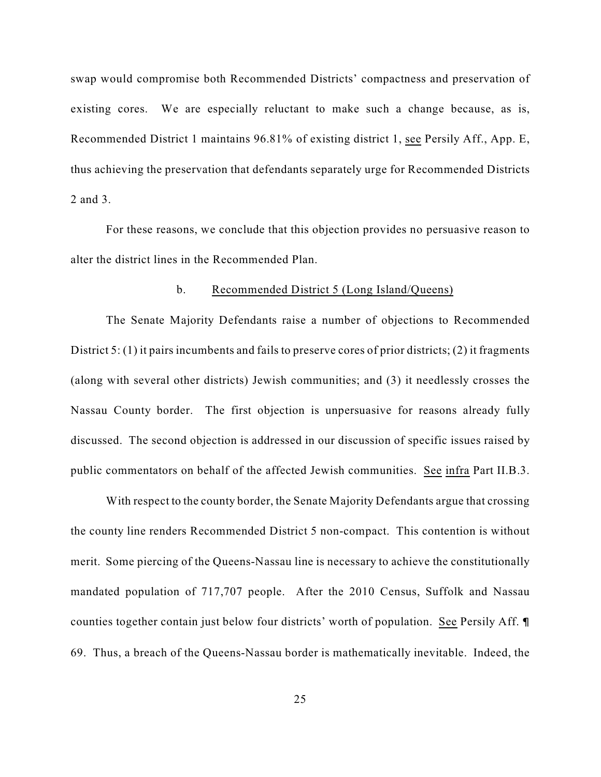swap would compromise both Recommended Districts' compactness and preservation of existing cores. We are especially reluctant to make such a change because, as is, Recommended District 1 maintains 96.81% of existing district 1, see Persily Aff., App. E, thus achieving the preservation that defendants separately urge for Recommended Districts 2 and 3.

For these reasons, we conclude that this objection provides no persuasive reason to alter the district lines in the Recommended Plan.

### b. Recommended District 5 (Long Island/Queens)

The Senate Majority Defendants raise a number of objections to Recommended District 5: (1) it pairs incumbents and fails to preserve cores of prior districts; (2) it fragments (along with several other districts) Jewish communities; and (3) it needlessly crosses the Nassau County border. The first objection is unpersuasive for reasons already fully discussed. The second objection is addressed in our discussion of specific issues raised by public commentators on behalf of the affected Jewish communities. See infra Part II.B.3.

With respect to the county border, the Senate Majority Defendants argue that crossing the county line renders Recommended District 5 non-compact. This contention is without merit. Some piercing of the Queens-Nassau line is necessary to achieve the constitutionally mandated population of 717,707 people. After the 2010 Census, Suffolk and Nassau counties together contain just below four districts' worth of population. See Persily Aff. ¶ 69. Thus, a breach of the Queens-Nassau border is mathematically inevitable. Indeed, the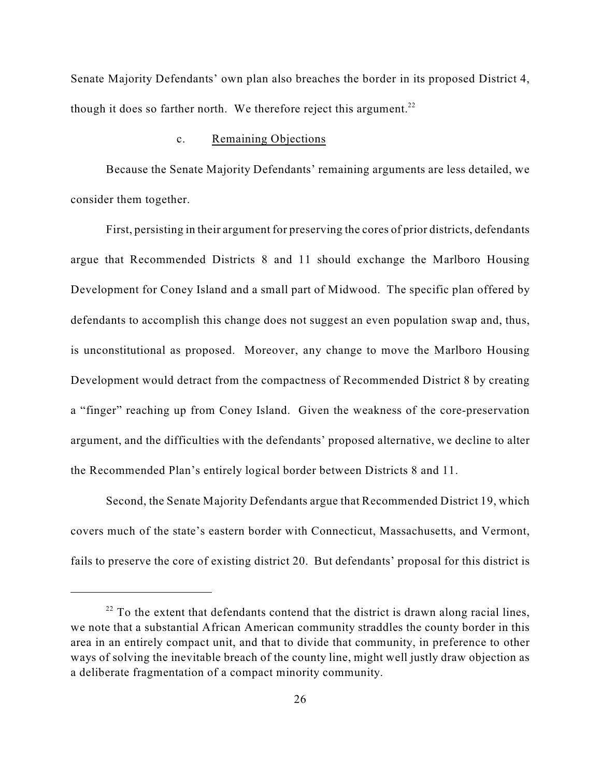Senate Majority Defendants' own plan also breaches the border in its proposed District 4, though it does so farther north. We therefore reject this argument.<sup>22</sup>

#### c. Remaining Objections

Because the Senate Majority Defendants' remaining arguments are less detailed, we consider them together.

First, persisting in their argument for preserving the cores of prior districts, defendants argue that Recommended Districts 8 and 11 should exchange the Marlboro Housing Development for Coney Island and a small part of Midwood. The specific plan offered by defendants to accomplish this change does not suggest an even population swap and, thus, is unconstitutional as proposed. Moreover, any change to move the Marlboro Housing Development would detract from the compactness of Recommended District 8 by creating a "finger" reaching up from Coney Island. Given the weakness of the core-preservation argument, and the difficulties with the defendants' proposed alternative, we decline to alter the Recommended Plan's entirely logical border between Districts 8 and 11.

Second, the Senate Majority Defendants argue that Recommended District 19, which covers much of the state's eastern border with Connecticut, Massachusetts, and Vermont, fails to preserve the core of existing district 20. But defendants' proposal for this district is

 $22$  To the extent that defendants contend that the district is drawn along racial lines, we note that a substantial African American community straddles the county border in this area in an entirely compact unit, and that to divide that community, in preference to other ways of solving the inevitable breach of the county line, might well justly draw objection as a deliberate fragmentation of a compact minority community.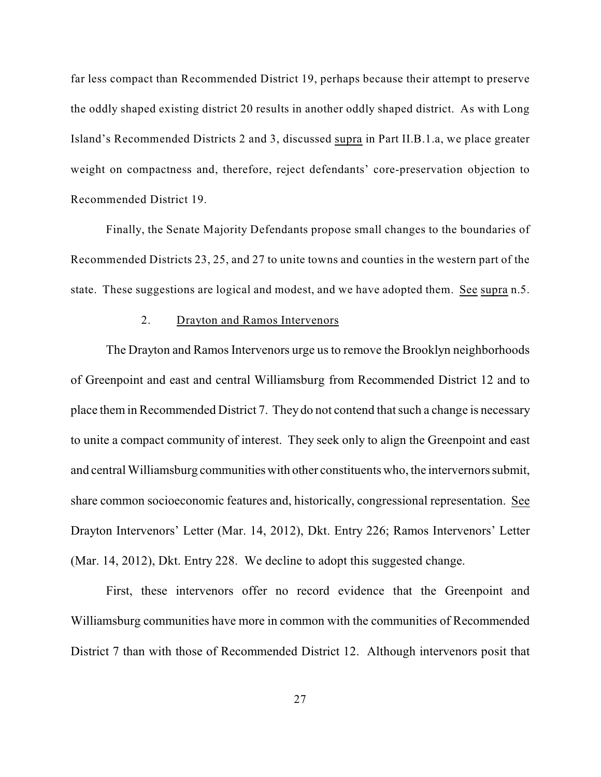far less compact than Recommended District 19, perhaps because their attempt to preserve the oddly shaped existing district 20 results in another oddly shaped district. As with Long Island's Recommended Districts 2 and 3, discussed supra in Part II.B.1.a, we place greater weight on compactness and, therefore, reject defendants' core-preservation objection to Recommended District 19.

Finally, the Senate Majority Defendants propose small changes to the boundaries of Recommended Districts 23, 25, and 27 to unite towns and counties in the western part of the state. These suggestions are logical and modest, and we have adopted them. See supra n.5.

## 2. Drayton and Ramos Intervenors

The Drayton and Ramos Intervenors urge us to remove the Brooklyn neighborhoods of Greenpoint and east and central Williamsburg from Recommended District 12 and to place them in Recommended District 7. They do not contend that such a change is necessary to unite a compact community of interest. They seek only to align the Greenpoint and east and central Williamsburg communities with other constituents who, the intervernors submit, share common socioeconomic features and, historically, congressional representation. See Drayton Intervenors' Letter (Mar. 14, 2012), Dkt. Entry 226; Ramos Intervenors' Letter (Mar. 14, 2012), Dkt. Entry 228. We decline to adopt this suggested change.

First, these intervenors offer no record evidence that the Greenpoint and Williamsburg communities have more in common with the communities of Recommended District 7 than with those of Recommended District 12. Although intervenors posit that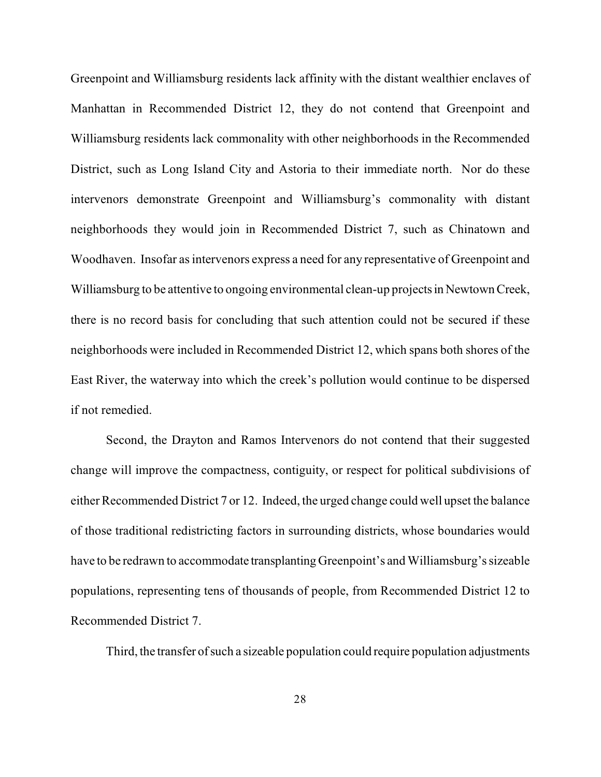Greenpoint and Williamsburg residents lack affinity with the distant wealthier enclaves of Manhattan in Recommended District 12, they do not contend that Greenpoint and Williamsburg residents lack commonality with other neighborhoods in the Recommended District, such as Long Island City and Astoria to their immediate north. Nor do these intervenors demonstrate Greenpoint and Williamsburg's commonality with distant neighborhoods they would join in Recommended District 7, such as Chinatown and Woodhaven. Insofar as intervenors express a need for any representative of Greenpoint and Williamsburg to be attentive to ongoing environmental clean-up projects in Newtown Creek, there is no record basis for concluding that such attention could not be secured if these neighborhoods were included in Recommended District 12, which spans both shores of the East River, the waterway into which the creek's pollution would continue to be dispersed if not remedied.

Second, the Drayton and Ramos Intervenors do not contend that their suggested change will improve the compactness, contiguity, or respect for political subdivisions of either Recommended District 7 or 12. Indeed, the urged change could well upset the balance of those traditional redistricting factors in surrounding districts, whose boundaries would have to be redrawn to accommodate transplanting Greenpoint's and Williamsburg's sizeable populations, representing tens of thousands of people, from Recommended District 12 to Recommended District 7.

Third, the transfer of such a sizeable population could require population adjustments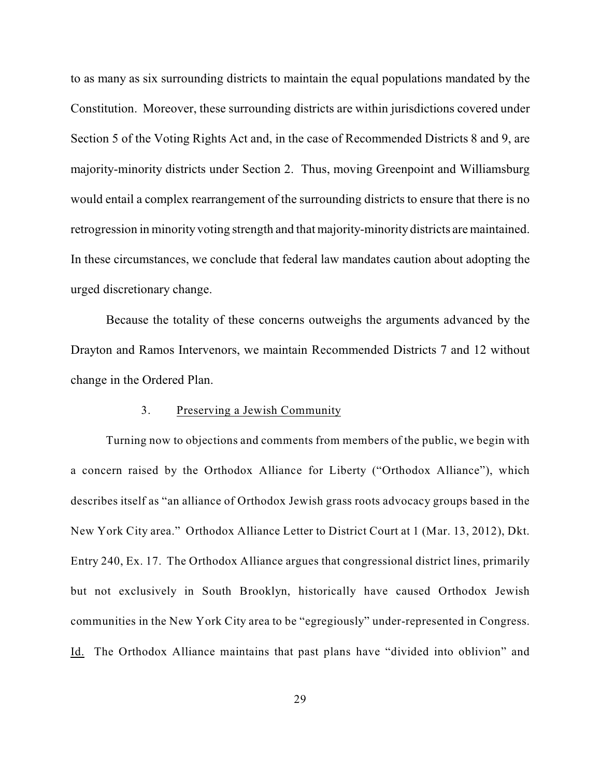to as many as six surrounding districts to maintain the equal populations mandated by the Constitution. Moreover, these surrounding districts are within jurisdictions covered under Section 5 of the Voting Rights Act and, in the case of Recommended Districts 8 and 9, are majority-minority districts under Section 2. Thus, moving Greenpoint and Williamsburg would entail a complex rearrangement of the surrounding districts to ensure that there is no retrogression in minority voting strength and that majority-minority districts are maintained. In these circumstances, we conclude that federal law mandates caution about adopting the urged discretionary change.

Because the totality of these concerns outweighs the arguments advanced by the Drayton and Ramos Intervenors, we maintain Recommended Districts 7 and 12 without change in the Ordered Plan.

## 3. Preserving a Jewish Community

Turning now to objections and comments from members of the public, we begin with a concern raised by the Orthodox Alliance for Liberty ("Orthodox Alliance"), which describes itself as "an alliance of Orthodox Jewish grass roots advocacy groups based in the New York City area." Orthodox Alliance Letter to District Court at 1 (Mar. 13, 2012), Dkt. Entry 240, Ex. 17. The Orthodox Alliance argues that congressional district lines, primarily but not exclusively in South Brooklyn, historically have caused Orthodox Jewish communities in the New York City area to be "egregiously" under-represented in Congress. Id. The Orthodox Alliance maintains that past plans have "divided into oblivion" and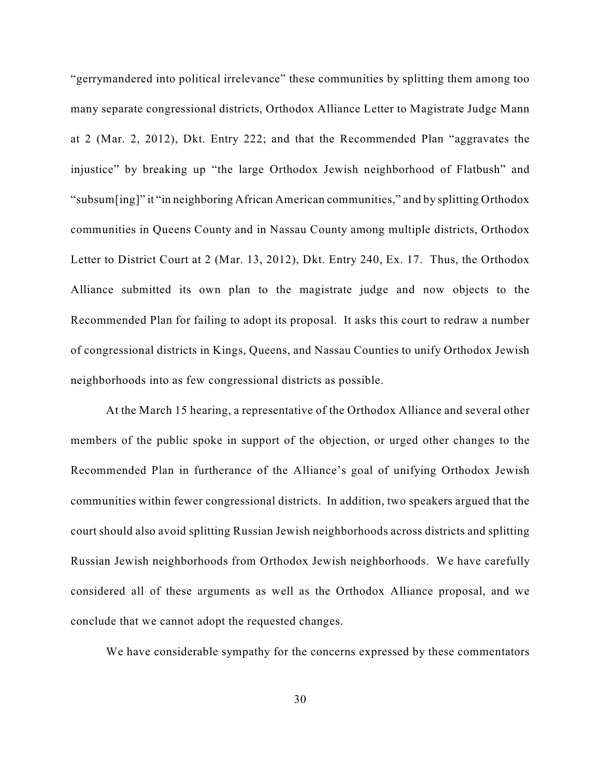"gerrymandered into political irrelevance" these communities by splitting them among too many separate congressional districts, Orthodox Alliance Letter to Magistrate Judge Mann at 2 (Mar. 2, 2012), Dkt. Entry 222; and that the Recommended Plan "aggravates the injustice" by breaking up "the large Orthodox Jewish neighborhood of Flatbush" and "subsum[ing]" it "in neighboring African American communities," and by splitting Orthodox communities in Queens County and in Nassau County among multiple districts, Orthodox Letter to District Court at 2 (Mar. 13, 2012), Dkt. Entry 240, Ex. 17. Thus, the Orthodox Alliance submitted its own plan to the magistrate judge and now objects to the Recommended Plan for failing to adopt its proposal. It asks this court to redraw a number of congressional districts in Kings, Queens, and Nassau Counties to unify Orthodox Jewish neighborhoods into as few congressional districts as possible.

At the March 15 hearing, a representative of the Orthodox Alliance and several other members of the public spoke in support of the objection, or urged other changes to the Recommended Plan in furtherance of the Alliance's goal of unifying Orthodox Jewish communities within fewer congressional districts. In addition, two speakers argued that the court should also avoid splitting Russian Jewish neighborhoods across districts and splitting Russian Jewish neighborhoods from Orthodox Jewish neighborhoods. We have carefully considered all of these arguments as well as the Orthodox Alliance proposal, and we conclude that we cannot adopt the requested changes.

We have considerable sympathy for the concerns expressed by these commentators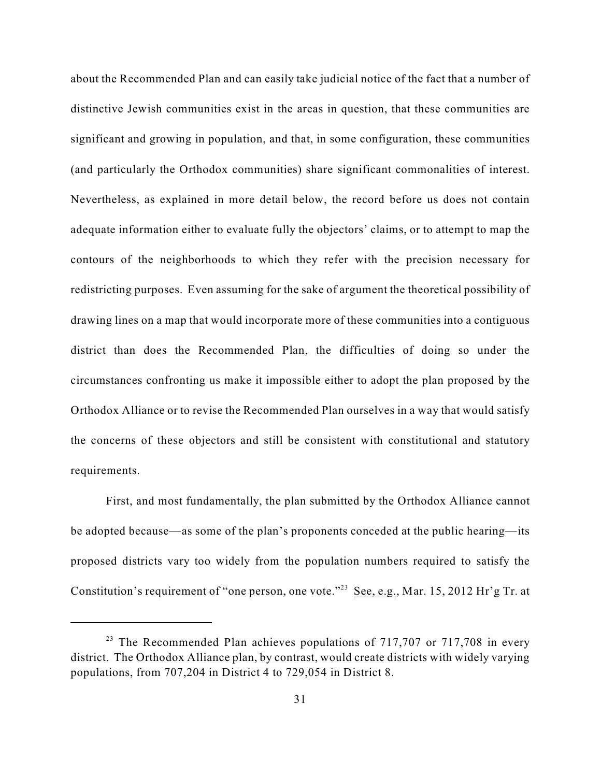about the Recommended Plan and can easily take judicial notice of the fact that a number of distinctive Jewish communities exist in the areas in question, that these communities are significant and growing in population, and that, in some configuration, these communities (and particularly the Orthodox communities) share significant commonalities of interest. Nevertheless, as explained in more detail below, the record before us does not contain adequate information either to evaluate fully the objectors' claims, or to attempt to map the contours of the neighborhoods to which they refer with the precision necessary for redistricting purposes. Even assuming for the sake of argument the theoretical possibility of drawing lines on a map that would incorporate more of these communities into a contiguous district than does the Recommended Plan, the difficulties of doing so under the circumstances confronting us make it impossible either to adopt the plan proposed by the Orthodox Alliance or to revise the Recommended Plan ourselves in a way that would satisfy the concerns of these objectors and still be consistent with constitutional and statutory requirements.

First, and most fundamentally, the plan submitted by the Orthodox Alliance cannot be adopted because—as some of the plan's proponents conceded at the public hearing—its proposed districts vary too widely from the population numbers required to satisfy the Constitution's requirement of "one person, one vote."<sup>23</sup> See, e.g., Mar. 15, 2012 Hr'g Tr. at

<sup>&</sup>lt;sup>23</sup> The Recommended Plan achieves populations of  $717,707$  or  $717,708$  in every district. The Orthodox Alliance plan, by contrast, would create districts with widely varying populations, from 707,204 in District 4 to 729,054 in District 8.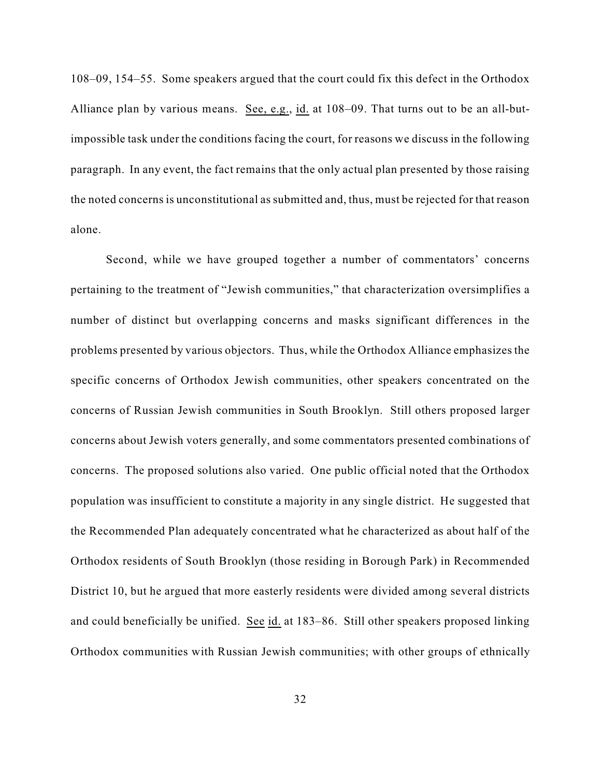108–09, 154–55. Some speakers argued that the court could fix this defect in the Orthodox Alliance plan by various means. See, e.g., id. at 108–09. That turns out to be an all-butimpossible task under the conditions facing the court, for reasons we discuss in the following paragraph. In any event, the fact remains that the only actual plan presented by those raising the noted concerns is unconstitutional as submitted and, thus, must be rejected for that reason alone.

Second, while we have grouped together a number of commentators' concerns pertaining to the treatment of "Jewish communities," that characterization oversimplifies a number of distinct but overlapping concerns and masks significant differences in the problems presented by various objectors. Thus, while the Orthodox Alliance emphasizes the specific concerns of Orthodox Jewish communities, other speakers concentrated on the concerns of Russian Jewish communities in South Brooklyn. Still others proposed larger concerns about Jewish voters generally, and some commentators presented combinations of concerns. The proposed solutions also varied. One public official noted that the Orthodox population was insufficient to constitute a majority in any single district. He suggested that the Recommended Plan adequately concentrated what he characterized as about half of the Orthodox residents of South Brooklyn (those residing in Borough Park) in Recommended District 10, but he argued that more easterly residents were divided among several districts and could beneficially be unified. See id. at 183–86. Still other speakers proposed linking Orthodox communities with Russian Jewish communities; with other groups of ethnically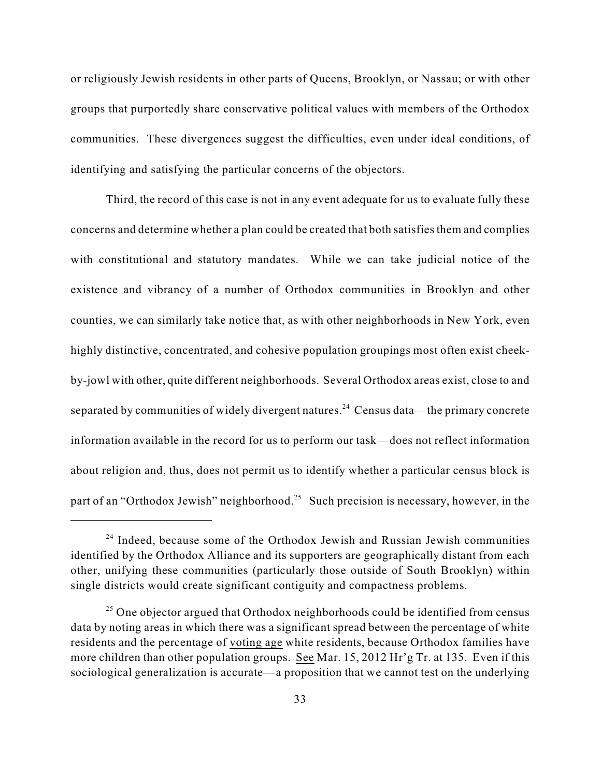or religiously Jewish residents in other parts of Queens, Brooklyn, or Nassau; or with other groups that purportedly share conservative political values with members of the Orthodox communities. These divergences suggest the difficulties, even under ideal conditions, of identifying and satisfying the particular concerns of the objectors.

Third, the record of this case is not in any event adequate for us to evaluate fully these concerns and determine whether a plan could be created that both satisfies them and complies with constitutional and statutory mandates. While we can take judicial notice of the existence and vibrancy of a number of Orthodox communities in Brooklyn and other counties, we can similarly take notice that, as with other neighborhoods in New York, even highly distinctive, concentrated, and cohesive population groupings most often exist cheekby-jowl with other, quite different neighborhoods. Several Orthodox areas exist, close to and separated by communities of widely divergent natures.<sup>24</sup> Census data—the primary concrete information available in the record for us to perform our task—does not reflect information about religion and, thus, does not permit us to identify whether a particular census block is part of an "Orthodox Jewish" neighborhood.<sup>25</sup> Such precision is necessary, however, in the

 $24$  Indeed, because some of the Orthodox Jewish and Russian Jewish communities identified by the Orthodox Alliance and its supporters are geographically distant from each other, unifying these communities (particularly those outside of South Brooklyn) within single districts would create significant contiguity and compactness problems.

 $^{25}$  One objector argued that Orthodox neighborhoods could be identified from census data by noting areas in which there was a significant spread between the percentage of white residents and the percentage of voting age white residents, because Orthodox families have more children than other population groups. See Mar. 15, 2012 Hr'g Tr. at 135. Even if this sociological generalization is accurate—a proposition that we cannot test on the underlying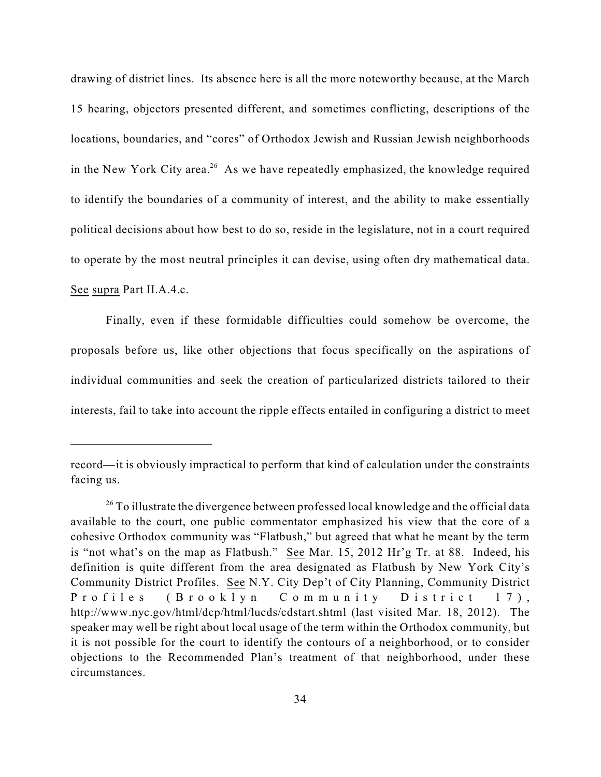drawing of district lines. Its absence here is all the more noteworthy because, at the March 15 hearing, objectors presented different, and sometimes conflicting, descriptions of the locations, boundaries, and "cores" of Orthodox Jewish and Russian Jewish neighborhoods in the New York City area.<sup>26</sup> As we have repeatedly emphasized, the knowledge required to identify the boundaries of a community of interest, and the ability to make essentially political decisions about how best to do so, reside in the legislature, not in a court required to operate by the most neutral principles it can devise, using often dry mathematical data. See supra Part II.A.4.c.

Finally, even if these formidable difficulties could somehow be overcome, the proposals before us, like other objections that focus specifically on the aspirations of individual communities and seek the creation of particularized districts tailored to their interests, fail to take into account the ripple effects entailed in configuring a district to meet

record—it is obviously impractical to perform that kind of calculation under the constraints facing us.

<sup>&</sup>lt;sup>26</sup> To illustrate the divergence between professed local knowledge and the official data available to the court, one public commentator emphasized his view that the core of a cohesive Orthodox community was "Flatbush," but agreed that what he meant by the term is "not what's on the map as Flatbush." See Mar. 15, 2012 Hr'g Tr. at 88.Indeed, his definition is quite different from the area designated as Flatbush by New York City's Community District Profiles. See N.Y. City Dep't of City Planning, Community District Profiles (Brooklyn Community District 17), http://www.nyc.gov/html/dcp/html/lucds/cdstart.shtml (last visited Mar. 18, 2012). The speaker may well be right about local usage of the term within the Orthodox community, but it is not possible for the court to identify the contours of a neighborhood, or to consider objections to the Recommended Plan's treatment of that neighborhood, under these circumstances.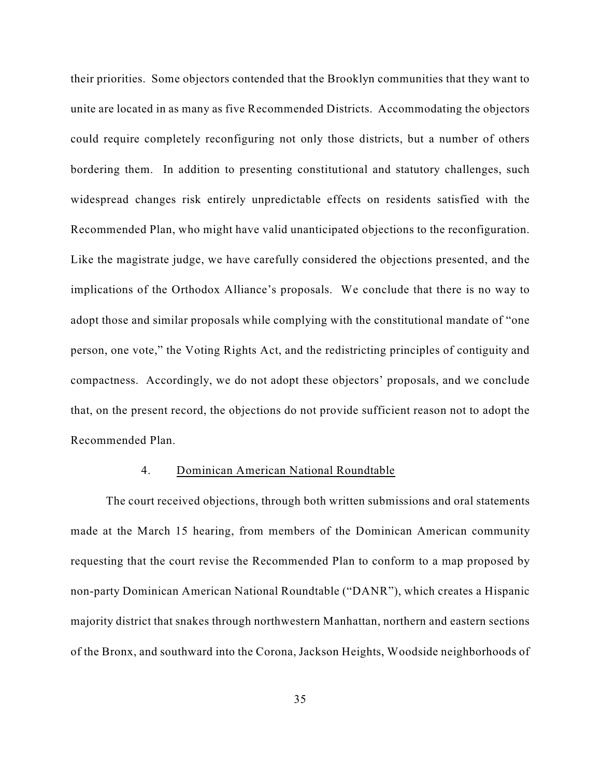their priorities. Some objectors contended that the Brooklyn communities that they want to unite are located in as many as five Recommended Districts. Accommodating the objectors could require completely reconfiguring not only those districts, but a number of others bordering them. In addition to presenting constitutional and statutory challenges, such widespread changes risk entirely unpredictable effects on residents satisfied with the Recommended Plan, who might have valid unanticipated objections to the reconfiguration. Like the magistrate judge, we have carefully considered the objections presented, and the implications of the Orthodox Alliance's proposals. We conclude that there is no way to adopt those and similar proposals while complying with the constitutional mandate of "one person, one vote," the Voting Rights Act, and the redistricting principles of contiguity and compactness. Accordingly, we do not adopt these objectors' proposals, and we conclude that, on the present record, the objections do not provide sufficient reason not to adopt the Recommended Plan.

## 4. Dominican American National Roundtable

The court received objections, through both written submissions and oral statements made at the March 15 hearing, from members of the Dominican American community requesting that the court revise the Recommended Plan to conform to a map proposed by non-party Dominican American National Roundtable ("DANR"), which creates a Hispanic majority district that snakes through northwestern Manhattan, northern and eastern sections of the Bronx, and southward into the Corona, Jackson Heights, Woodside neighborhoods of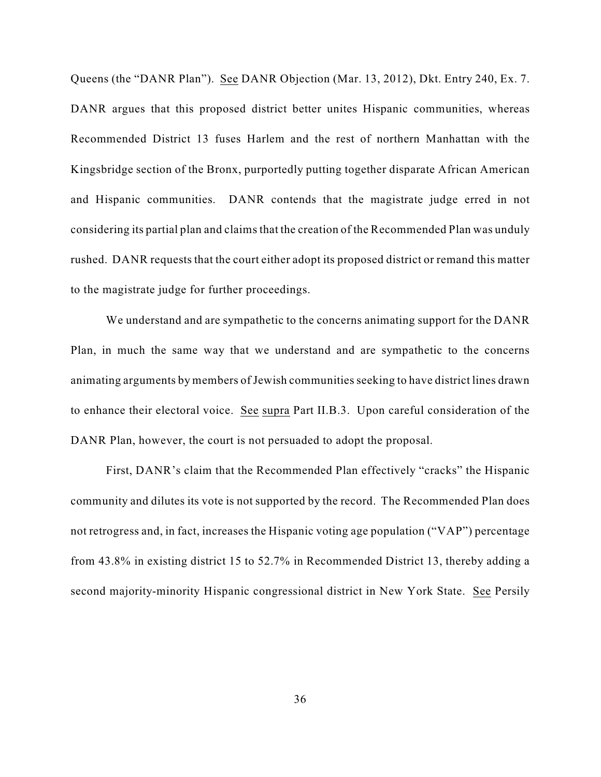Queens (the "DANR Plan"). See DANR Objection (Mar. 13, 2012), Dkt. Entry 240, Ex. 7. DANR argues that this proposed district better unites Hispanic communities, whereas Recommended District 13 fuses Harlem and the rest of northern Manhattan with the Kingsbridge section of the Bronx, purportedly putting together disparate African American and Hispanic communities. DANR contends that the magistrate judge erred in not considering its partial plan and claims that the creation of the Recommended Plan was unduly rushed. DANR requests that the court either adopt its proposed district or remand this matter to the magistrate judge for further proceedings.

We understand and are sympathetic to the concerns animating support for the DANR Plan, in much the same way that we understand and are sympathetic to the concerns animating arguments by members of Jewish communities seeking to have district lines drawn to enhance their electoral voice. See supra Part II.B.3. Upon careful consideration of the DANR Plan, however, the court is not persuaded to adopt the proposal.

First, DANR's claim that the Recommended Plan effectively "cracks" the Hispanic community and dilutes its vote is not supported by the record. The Recommended Plan does not retrogress and, in fact, increases the Hispanic voting age population ("VAP") percentage from 43.8% in existing district 15 to 52.7% in Recommended District 13, thereby adding a second majority-minority Hispanic congressional district in New York State. See Persily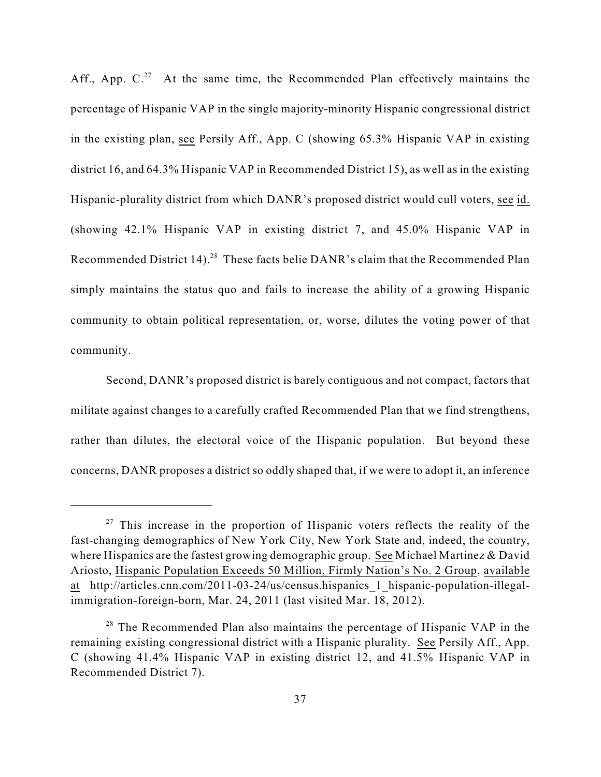Aff., App.  $C<sup>27</sup>$  At the same time, the Recommended Plan effectively maintains the percentage of Hispanic VAP in the single majority-minority Hispanic congressional district in the existing plan, see Persily Aff., App. C (showing 65.3% Hispanic VAP in existing district 16, and 64.3% Hispanic VAP in Recommended District 15), as well as in the existing Hispanic-plurality district from which DANR's proposed district would cull voters, see id. (showing 42.1% Hispanic VAP in existing district 7, and 45.0% Hispanic VAP in Recommended District 14).<sup>28</sup> These facts belie DANR's claim that the Recommended Plan simply maintains the status quo and fails to increase the ability of a growing Hispanic community to obtain political representation, or, worse, dilutes the voting power of that community.

Second, DANR's proposed district is barely contiguous and not compact, factors that militate against changes to a carefully crafted Recommended Plan that we find strengthens, rather than dilutes, the electoral voice of the Hispanic population. But beyond these concerns, DANR proposes a district so oddly shaped that, if we were to adopt it, an inference

 $27$  This increase in the proportion of Hispanic voters reflects the reality of the fast-changing demographics of New York City, New York State and, indeed, the country, where Hispanics are the fastest growing demographic group. See Michael Martinez & David Ariosto, Hispanic Population Exceeds 50 Million, Firmly Nation's No. 2 Group, available at http://articles.cnn.com/2011-03-24/us/census.hispanics\_1\_hispanic-population-illegalimmigration-foreign-born, Mar. 24, 2011 (last visited Mar. 18, 2012).

 $28$  The Recommended Plan also maintains the percentage of Hispanic VAP in the remaining existing congressional district with a Hispanic plurality. See Persily Aff., App. C (showing 41.4% Hispanic VAP in existing district 12, and 41.5% Hispanic VAP in Recommended District 7).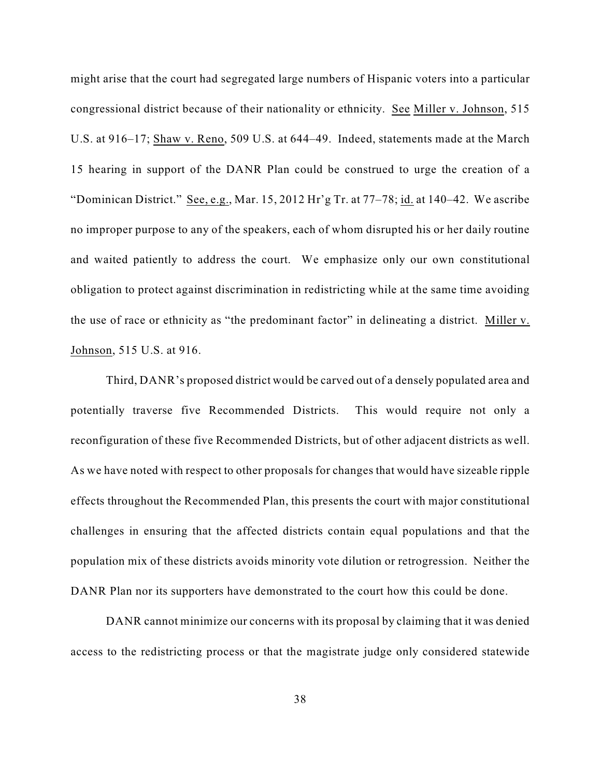might arise that the court had segregated large numbers of Hispanic voters into a particular congressional district because of their nationality or ethnicity. See Miller v. Johnson, 515 U.S. at 916–17; Shaw v. Reno, 509 U.S. at 644–49. Indeed, statements made at the March 15 hearing in support of the DANR Plan could be construed to urge the creation of a "Dominican District." See, e.g., Mar. 15, 2012 Hr'g Tr. at 77–78; id. at 140–42. We ascribe no improper purpose to any of the speakers, each of whom disrupted his or her daily routine and waited patiently to address the court. We emphasize only our own constitutional obligation to protect against discrimination in redistricting while at the same time avoiding the use of race or ethnicity as "the predominant factor" in delineating a district. Miller v. Johnson, 515 U.S. at 916.

Third, DANR's proposed district would be carved out of a densely populated area and potentially traverse five Recommended Districts. This would require not only a reconfiguration of these five Recommended Districts, but of other adjacent districts as well. As we have noted with respect to other proposals for changes that would have sizeable ripple effects throughout the Recommended Plan, this presents the court with major constitutional challenges in ensuring that the affected districts contain equal populations and that the population mix of these districts avoids minority vote dilution or retrogression. Neither the DANR Plan nor its supporters have demonstrated to the court how this could be done.

DANR cannot minimize our concerns with its proposal by claiming that it was denied access to the redistricting process or that the magistrate judge only considered statewide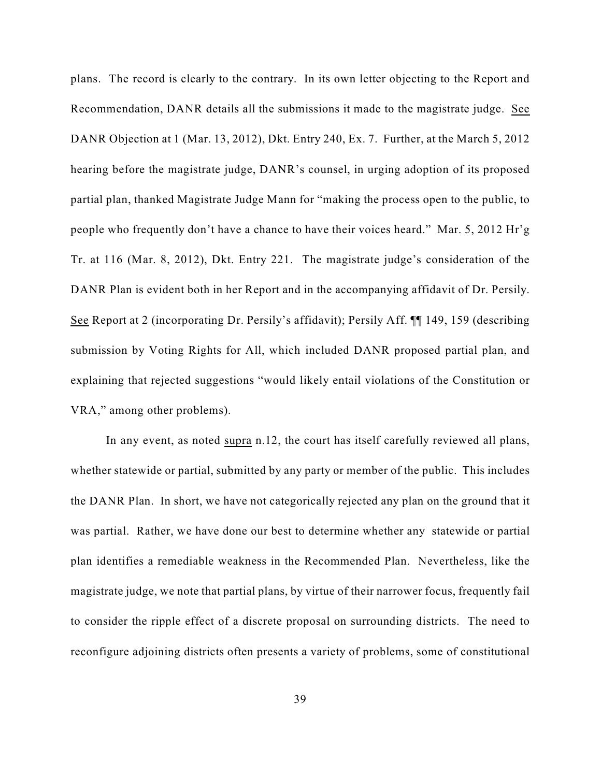plans. The record is clearly to the contrary. In its own letter objecting to the Report and Recommendation, DANR details all the submissions it made to the magistrate judge. See DANR Objection at 1 (Mar. 13, 2012), Dkt. Entry 240, Ex. 7. Further, at the March 5, 2012 hearing before the magistrate judge, DANR's counsel, in urging adoption of its proposed partial plan, thanked Magistrate Judge Mann for "making the process open to the public, to people who frequently don't have a chance to have their voices heard." Mar. 5, 2012 Hr'g Tr. at 116 (Mar. 8, 2012), Dkt. Entry 221. The magistrate judge's consideration of the DANR Plan is evident both in her Report and in the accompanying affidavit of Dr. Persily. See Report at 2 (incorporating Dr. Persily's affidavit); Persily Aff. ¶¶ 149, 159 (describing submission by Voting Rights for All, which included DANR proposed partial plan, and explaining that rejected suggestions "would likely entail violations of the Constitution or VRA," among other problems).

In any event, as noted supra n.12, the court has itself carefully reviewed all plans, whether statewide or partial, submitted by any party or member of the public. This includes the DANR Plan. In short, we have not categorically rejected any plan on the ground that it was partial. Rather, we have done our best to determine whether any statewide or partial plan identifies a remediable weakness in the Recommended Plan. Nevertheless, like the magistrate judge, we note that partial plans, by virtue of their narrower focus, frequently fail to consider the ripple effect of a discrete proposal on surrounding districts. The need to reconfigure adjoining districts often presents a variety of problems, some of constitutional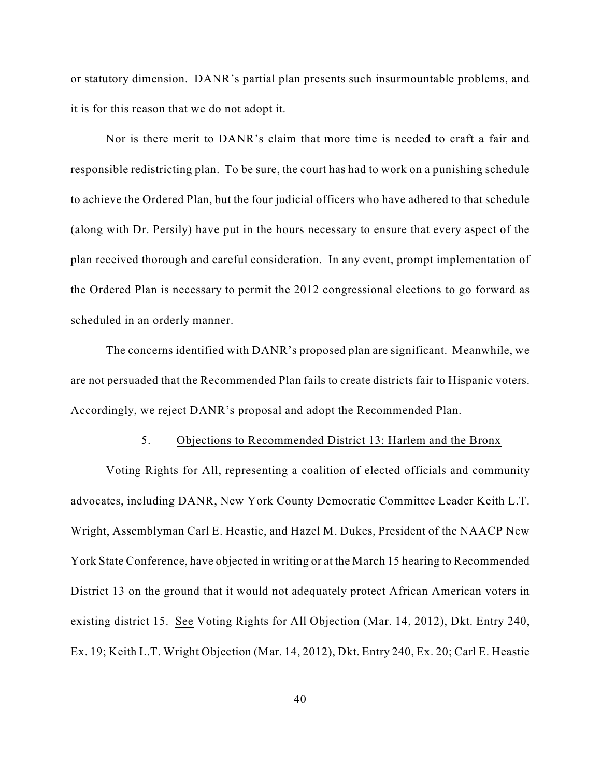or statutory dimension. DANR's partial plan presents such insurmountable problems, and it is for this reason that we do not adopt it.

Nor is there merit to DANR's claim that more time is needed to craft a fair and responsible redistricting plan. To be sure, the court has had to work on a punishing schedule to achieve the Ordered Plan, but the four judicial officers who have adhered to that schedule (along with Dr. Persily) have put in the hours necessary to ensure that every aspect of the plan received thorough and careful consideration. In any event, prompt implementation of the Ordered Plan is necessary to permit the 2012 congressional elections to go forward as scheduled in an orderly manner.

The concerns identified with DANR's proposed plan are significant. Meanwhile, we are not persuaded that the Recommended Plan fails to create districts fair to Hispanic voters. Accordingly, we reject DANR's proposal and adopt the Recommended Plan.

#### 5. Objections to Recommended District 13: Harlem and the Bronx

Voting Rights for All, representing a coalition of elected officials and community advocates, including DANR, New York County Democratic Committee Leader Keith L.T. Wright, Assemblyman Carl E. Heastie, and Hazel M. Dukes, President of the NAACP New York State Conference, have objected in writing or at the March 15 hearing to Recommended District 13 on the ground that it would not adequately protect African American voters in existing district 15. See Voting Rights for All Objection (Mar. 14, 2012), Dkt. Entry 240, Ex. 19; Keith L.T. Wright Objection (Mar. 14, 2012), Dkt. Entry 240, Ex. 20; Carl E. Heastie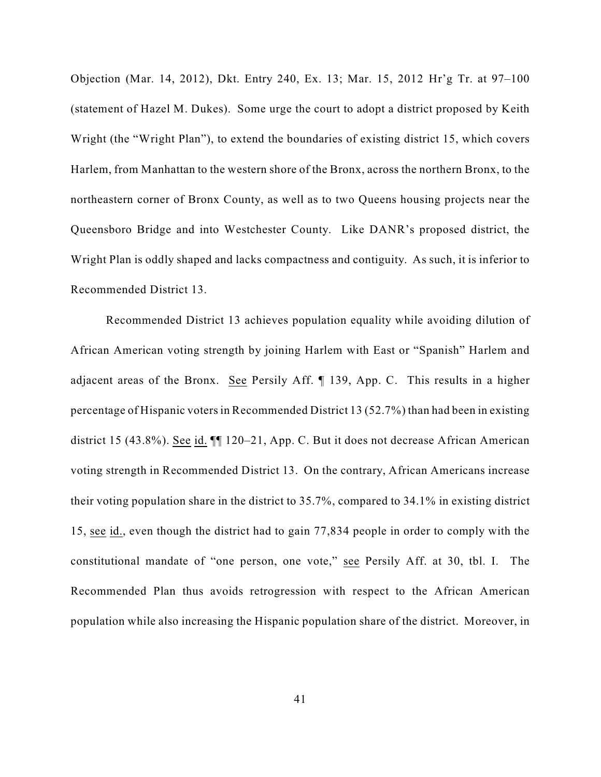Objection (Mar. 14, 2012), Dkt. Entry 240, Ex. 13; Mar. 15, 2012 Hr'g Tr. at 97–100 (statement of Hazel M. Dukes). Some urge the court to adopt a district proposed by Keith Wright (the "Wright Plan"), to extend the boundaries of existing district 15, which covers Harlem, from Manhattan to the western shore of the Bronx, across the northern Bronx, to the northeastern corner of Bronx County, as well as to two Queens housing projects near the Queensboro Bridge and into Westchester County. Like DANR's proposed district, the Wright Plan is oddly shaped and lacks compactness and contiguity. As such, it is inferior to Recommended District 13.

Recommended District 13 achieves population equality while avoiding dilution of African American voting strength by joining Harlem with East or "Spanish" Harlem and adjacent areas of the Bronx. See Persily Aff. ¶ 139, App. C. This results in a higher percentage of Hispanic voters in Recommended District 13 (52.7%) than had been in existing district 15 (43.8%). See id. ¶¶ 120–21, App. C. But it does not decrease African American voting strength in Recommended District 13. On the contrary, African Americans increase their voting population share in the district to 35.7%, compared to 34.1% in existing district 15, see id., even though the district had to gain 77,834 people in order to comply with the constitutional mandate of "one person, one vote," see Persily Aff. at 30, tbl. I. The Recommended Plan thus avoids retrogression with respect to the African American population while also increasing the Hispanic population share of the district. Moreover, in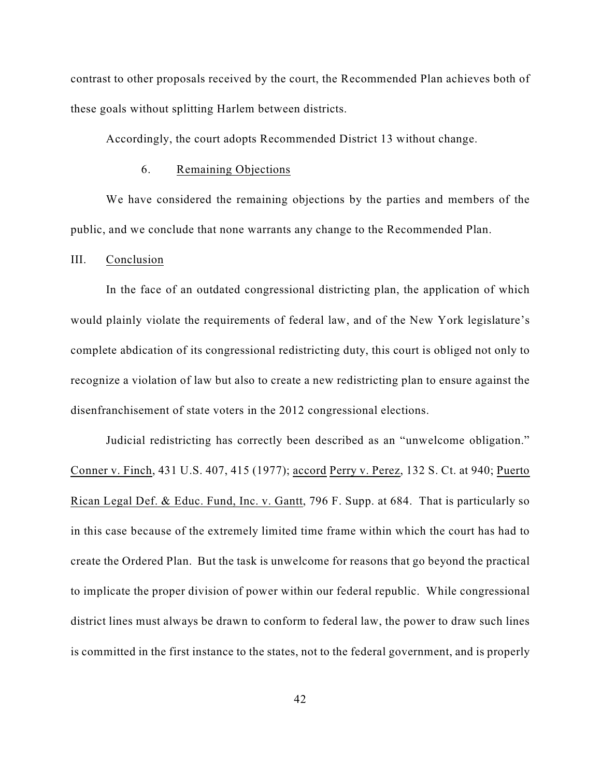contrast to other proposals received by the court, the Recommended Plan achieves both of these goals without splitting Harlem between districts.

Accordingly, the court adopts Recommended District 13 without change.

## 6. Remaining Objections

We have considered the remaining objections by the parties and members of the public, and we conclude that none warrants any change to the Recommended Plan.

### III. Conclusion

In the face of an outdated congressional districting plan, the application of which would plainly violate the requirements of federal law, and of the New York legislature's complete abdication of its congressional redistricting duty, this court is obliged not only to recognize a violation of law but also to create a new redistricting plan to ensure against the disenfranchisement of state voters in the 2012 congressional elections.

Judicial redistricting has correctly been described as an "unwelcome obligation." Conner v. Finch, 431 U.S. 407, 415 (1977); accord Perry v. Perez, 132 S. Ct. at 940; Puerto Rican Legal Def. & Educ. Fund, Inc. v. Gantt, 796 F. Supp. at 684. That is particularly so in this case because of the extremely limited time frame within which the court has had to create the Ordered Plan. But the task is unwelcome for reasons that go beyond the practical to implicate the proper division of power within our federal republic. While congressional district lines must always be drawn to conform to federal law, the power to draw such lines is committed in the first instance to the states, not to the federal government, and is properly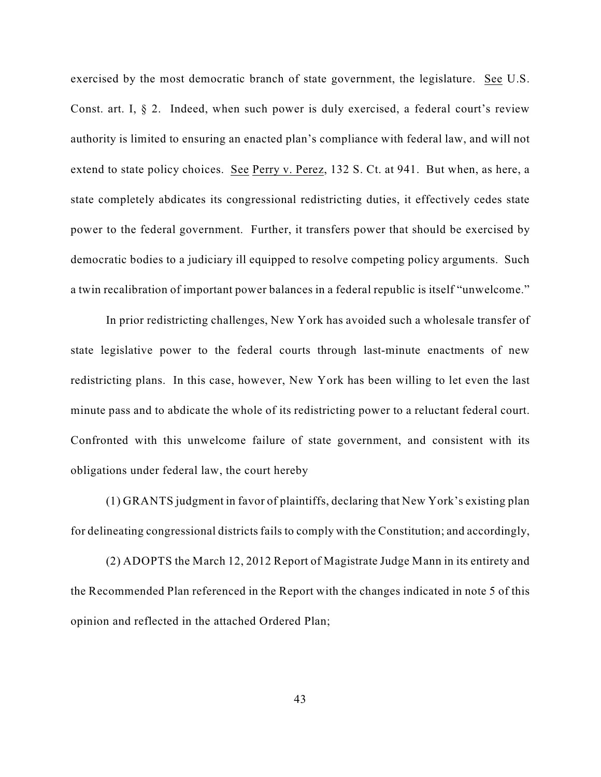exercised by the most democratic branch of state government, the legislature. See U.S. Const. art. I, § 2. Indeed, when such power is duly exercised, a federal court's review authority is limited to ensuring an enacted plan's compliance with federal law, and will not extend to state policy choices. See Perry v. Perez, 132 S. Ct. at 941. But when, as here, a state completely abdicates its congressional redistricting duties, it effectively cedes state power to the federal government. Further, it transfers power that should be exercised by democratic bodies to a judiciary ill equipped to resolve competing policy arguments. Such a twin recalibration of important power balances in a federal republic is itself "unwelcome."

In prior redistricting challenges, New York has avoided such a wholesale transfer of state legislative power to the federal courts through last-minute enactments of new redistricting plans. In this case, however, New York has been willing to let even the last minute pass and to abdicate the whole of its redistricting power to a reluctant federal court. Confronted with this unwelcome failure of state government, and consistent with its obligations under federal law, the court hereby

(1) GRANTS judgment in favor of plaintiffs, declaring that New York's existing plan for delineating congressional districts fails to comply with the Constitution; and accordingly,

(2) ADOPTS the March 12, 2012 Report of Magistrate Judge Mann in its entirety and the Recommended Plan referenced in the Report with the changes indicated in note 5 of this opinion and reflected in the attached Ordered Plan;